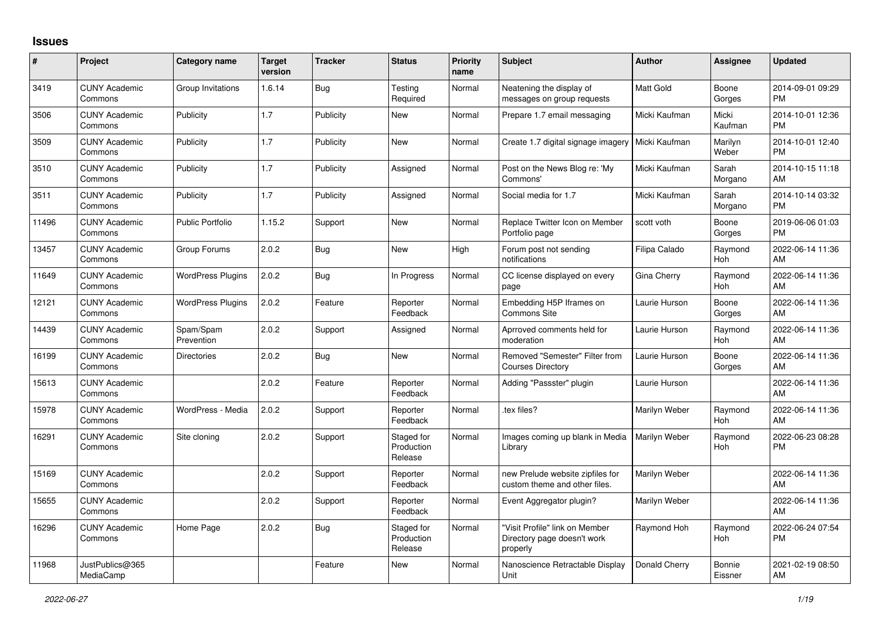## **Issues**

| #     | Project                         | <b>Category name</b>     | <b>Target</b><br>version | <b>Tracker</b> | <b>Status</b>                       | <b>Priority</b><br>name | <b>Subject</b>                                                            | Author           | <b>Assignee</b>   | <b>Updated</b>                |
|-------|---------------------------------|--------------------------|--------------------------|----------------|-------------------------------------|-------------------------|---------------------------------------------------------------------------|------------------|-------------------|-------------------------------|
| 3419  | <b>CUNY Academic</b><br>Commons | Group Invitations        | 1.6.14                   | Bug            | Testing<br>Required                 | Normal                  | Neatening the display of<br>messages on group requests                    | <b>Matt Gold</b> | Boone<br>Gorges   | 2014-09-01 09:29<br><b>PM</b> |
| 3506  | <b>CUNY Academic</b><br>Commons | Publicity                | 1.7                      | Publicity      | New                                 | Normal                  | Prepare 1.7 email messaging                                               | Micki Kaufman    | Micki<br>Kaufman  | 2014-10-01 12:36<br><b>PM</b> |
| 3509  | <b>CUNY Academic</b><br>Commons | Publicity                | 1.7                      | Publicity      | New                                 | Normal                  | Create 1.7 digital signage imagery   Micki Kaufman                        |                  | Marilyn<br>Weber  | 2014-10-01 12:40<br><b>PM</b> |
| 3510  | <b>CUNY Academic</b><br>Commons | Publicity                | 1.7                      | Publicity      | Assigned                            | Normal                  | Post on the News Blog re: 'My<br>Commons'                                 | Micki Kaufman    | Sarah<br>Morgano  | 2014-10-15 11:18<br>AM        |
| 3511  | <b>CUNY Academic</b><br>Commons | Publicity                | 1.7                      | Publicity      | Assigned                            | Normal                  | Social media for 1.7                                                      | Micki Kaufman    | Sarah<br>Morgano  | 2014-10-14 03:32<br><b>PM</b> |
| 11496 | <b>CUNY Academic</b><br>Commons | <b>Public Portfolio</b>  | 1.15.2                   | Support        | New                                 | Normal                  | Replace Twitter Icon on Member<br>Portfolio page                          | scott voth       | Boone<br>Gorges   | 2019-06-06 01:03<br><b>PM</b> |
| 13457 | <b>CUNY Academic</b><br>Commons | Group Forums             | 2.0.2                    | Bug            | <b>New</b>                          | High                    | Forum post not sending<br>notifications                                   | Filipa Calado    | Raymond<br>Hoh    | 2022-06-14 11:36<br>AM        |
| 11649 | <b>CUNY Academic</b><br>Commons | <b>WordPress Plugins</b> | 2.0.2                    | Bug            | In Progress                         | Normal                  | CC license displayed on every<br>page                                     | Gina Cherry      | Raymond<br>Hoh    | 2022-06-14 11:36<br>AM        |
| 12121 | <b>CUNY Academic</b><br>Commons | <b>WordPress Plugins</b> | 2.0.2                    | Feature        | Reporter<br>Feedback                | Normal                  | Embedding H5P Iframes on<br><b>Commons Site</b>                           | Laurie Hurson    | Boone<br>Gorges   | 2022-06-14 11:36<br>AM        |
| 14439 | <b>CUNY Academic</b><br>Commons | Spam/Spam<br>Prevention  | 2.0.2                    | Support        | Assigned                            | Normal                  | Aprroved comments held for<br>moderation                                  | Laurie Hurson    | Raymond<br>Hoh    | 2022-06-14 11:36<br>AM        |
| 16199 | <b>CUNY Academic</b><br>Commons | <b>Directories</b>       | 2.0.2                    | Bug            | <b>New</b>                          | Normal                  | Removed "Semester" Filter from<br><b>Courses Directory</b>                | Laurie Hurson    | Boone<br>Gorges   | 2022-06-14 11:36<br>AM        |
| 15613 | <b>CUNY Academic</b><br>Commons |                          | 2.0.2                    | Feature        | Reporter<br>Feedback                | Normal                  | Adding "Passster" plugin                                                  | Laurie Hurson    |                   | 2022-06-14 11:36<br>AM        |
| 15978 | <b>CUNY Academic</b><br>Commons | WordPress - Media        | 2.0.2                    | Support        | Reporter<br>Feedback                | Normal                  | tex files?                                                                | Marilyn Weber    | Raymond<br>Hoh    | 2022-06-14 11:36<br>AM        |
| 16291 | <b>CUNY Academic</b><br>Commons | Site cloning             | 2.0.2                    | Support        | Staged for<br>Production<br>Release | Normal                  | Images coming up blank in Media<br>Library                                | Marilyn Weber    | Raymond<br>Hoh    | 2022-06-23 08:28<br><b>PM</b> |
| 15169 | <b>CUNY Academic</b><br>Commons |                          | 2.0.2                    | Support        | Reporter<br>Feedback                | Normal                  | new Prelude website zipfiles for<br>custom theme and other files.         | Marilyn Weber    |                   | 2022-06-14 11:36<br>AM        |
| 15655 | <b>CUNY Academic</b><br>Commons |                          | 2.0.2                    | Support        | Reporter<br>Feedback                | Normal                  | Event Aggregator plugin?                                                  | Marilyn Weber    |                   | 2022-06-14 11:36<br>AM        |
| 16296 | <b>CUNY Academic</b><br>Commons | Home Page                | 2.0.2                    | Bug            | Staged for<br>Production<br>Release | Normal                  | "Visit Profile" link on Member<br>Directory page doesn't work<br>properly | Raymond Hoh      | Raymond<br>Hoh    | 2022-06-24 07:54<br><b>PM</b> |
| 11968 | JustPublics@365<br>MediaCamp    |                          |                          | Feature        | <b>New</b>                          | Normal                  | Nanoscience Retractable Display<br>Unit                                   | Donald Cherry    | Bonnie<br>Eissner | 2021-02-19 08:50<br>AM        |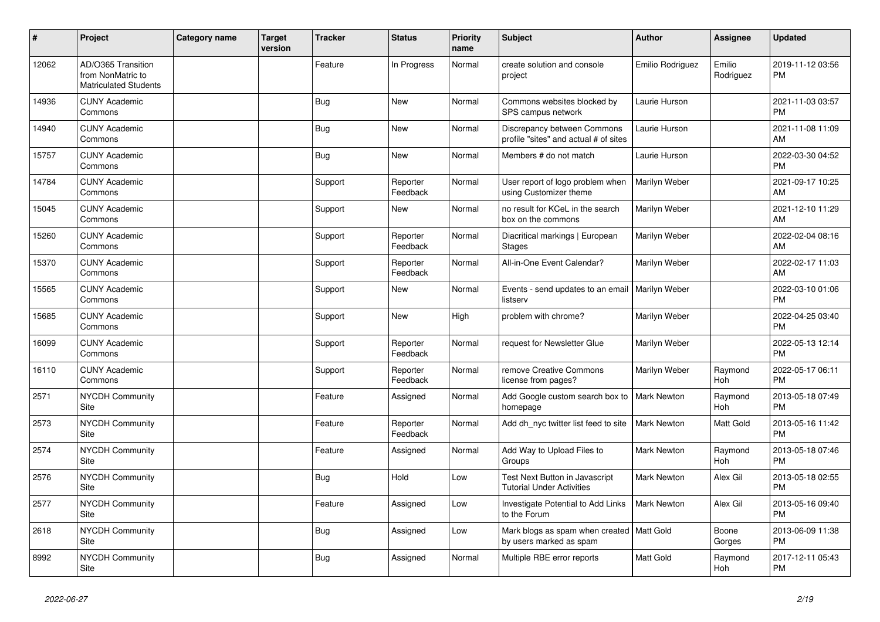| #     | Project                                                                 | Category name | <b>Target</b><br>version | <b>Tracker</b> | <b>Status</b>        | <b>Priority</b><br>name | <b>Subject</b>                                                            | <b>Author</b>      | <b>Assignee</b>       | <b>Updated</b>                |
|-------|-------------------------------------------------------------------------|---------------|--------------------------|----------------|----------------------|-------------------------|---------------------------------------------------------------------------|--------------------|-----------------------|-------------------------------|
| 12062 | AD/O365 Transition<br>from NonMatric to<br><b>Matriculated Students</b> |               |                          | Feature        | In Progress          | Normal                  | create solution and console<br>project                                    | Emilio Rodriguez   | Emilio<br>Rodriguez   | 2019-11-12 03:56<br><b>PM</b> |
| 14936 | <b>CUNY Academic</b><br>Commons                                         |               |                          | <b>Bug</b>     | <b>New</b>           | Normal                  | Commons websites blocked by<br>SPS campus network                         | Laurie Hurson      |                       | 2021-11-03 03:57<br><b>PM</b> |
| 14940 | <b>CUNY Academic</b><br>Commons                                         |               |                          | Bug            | <b>New</b>           | Normal                  | Discrepancy between Commons<br>profile "sites" and actual # of sites      | Laurie Hurson      |                       | 2021-11-08 11:09<br>AM        |
| 15757 | <b>CUNY Academic</b><br>Commons                                         |               |                          | <b>Bug</b>     | <b>New</b>           | Normal                  | Members # do not match                                                    | Laurie Hurson      |                       | 2022-03-30 04:52<br><b>PM</b> |
| 14784 | <b>CUNY Academic</b><br>Commons                                         |               |                          | Support        | Reporter<br>Feedback | Normal                  | User report of logo problem when<br>using Customizer theme                | Marilyn Weber      |                       | 2021-09-17 10:25<br>AM        |
| 15045 | <b>CUNY Academic</b><br>Commons                                         |               |                          | Support        | New                  | Normal                  | no result for KCeL in the search<br>box on the commons                    | Marilyn Weber      |                       | 2021-12-10 11:29<br>AM        |
| 15260 | <b>CUNY Academic</b><br>Commons                                         |               |                          | Support        | Reporter<br>Feedback | Normal                  | Diacritical markings   European<br><b>Stages</b>                          | Marilyn Weber      |                       | 2022-02-04 08:16<br>AM        |
| 15370 | <b>CUNY Academic</b><br>Commons                                         |               |                          | Support        | Reporter<br>Feedback | Normal                  | All-in-One Event Calendar?                                                | Marilyn Weber      |                       | 2022-02-17 11:03<br>AM        |
| 15565 | <b>CUNY Academic</b><br>Commons                                         |               |                          | Support        | <b>New</b>           | Normal                  | Events - send updates to an email   Marilyn Weber<br>listserv             |                    |                       | 2022-03-10 01:06<br><b>PM</b> |
| 15685 | <b>CUNY Academic</b><br>Commons                                         |               |                          | Support        | <b>New</b>           | High                    | problem with chrome?                                                      | Marilyn Weber      |                       | 2022-04-25 03:40<br><b>PM</b> |
| 16099 | <b>CUNY Academic</b><br>Commons                                         |               |                          | Support        | Reporter<br>Feedback | Normal                  | request for Newsletter Glue                                               | Marilyn Weber      |                       | 2022-05-13 12:14<br><b>PM</b> |
| 16110 | <b>CUNY Academic</b><br>Commons                                         |               |                          | Support        | Reporter<br>Feedback | Normal                  | remove Creative Commons<br>license from pages?                            | Marilyn Weber      | Raymond<br><b>Hoh</b> | 2022-05-17 06:11<br><b>PM</b> |
| 2571  | NYCDH Community<br>Site                                                 |               |                          | Feature        | Assigned             | Normal                  | Add Google custom search box to<br>homepage                               | <b>Mark Newton</b> | Raymond<br>Hoh        | 2013-05-18 07:49<br><b>PM</b> |
| 2573  | <b>NYCDH Community</b><br>Site                                          |               |                          | Feature        | Reporter<br>Feedback | Normal                  | Add dh_nyc twitter list feed to site                                      | <b>Mark Newton</b> | Matt Gold             | 2013-05-16 11:42<br><b>PM</b> |
| 2574  | <b>NYCDH Community</b><br>Site                                          |               |                          | Feature        | Assigned             | Normal                  | Add Way to Upload Files to<br>Groups                                      | Mark Newton        | Raymond<br>Hoh        | 2013-05-18 07:46<br><b>PM</b> |
| 2576  | NYCDH Community<br>Site                                                 |               |                          | <b>Bug</b>     | Hold                 | Low                     | <b>Test Next Button in Javascript</b><br><b>Tutorial Under Activities</b> | Mark Newton        | Alex Gil              | 2013-05-18 02:55<br><b>PM</b> |
| 2577  | <b>NYCDH Community</b><br>Site                                          |               |                          | Feature        | Assigned             | Low                     | Investigate Potential to Add Links<br>to the Forum                        | Mark Newton        | Alex Gil              | 2013-05-16 09:40<br><b>PM</b> |
| 2618  | <b>NYCDH Community</b><br>Site                                          |               |                          | <b>Bug</b>     | Assigned             | Low                     | Mark blogs as spam when created   Matt Gold<br>by users marked as spam    |                    | Boone<br>Gorges       | 2013-06-09 11:38<br><b>PM</b> |
| 8992  | <b>NYCDH Community</b><br>Site                                          |               |                          | <b>Bug</b>     | Assigned             | Normal                  | Multiple RBE error reports                                                | Matt Gold          | Raymond<br>Hoh        | 2017-12-11 05:43<br><b>PM</b> |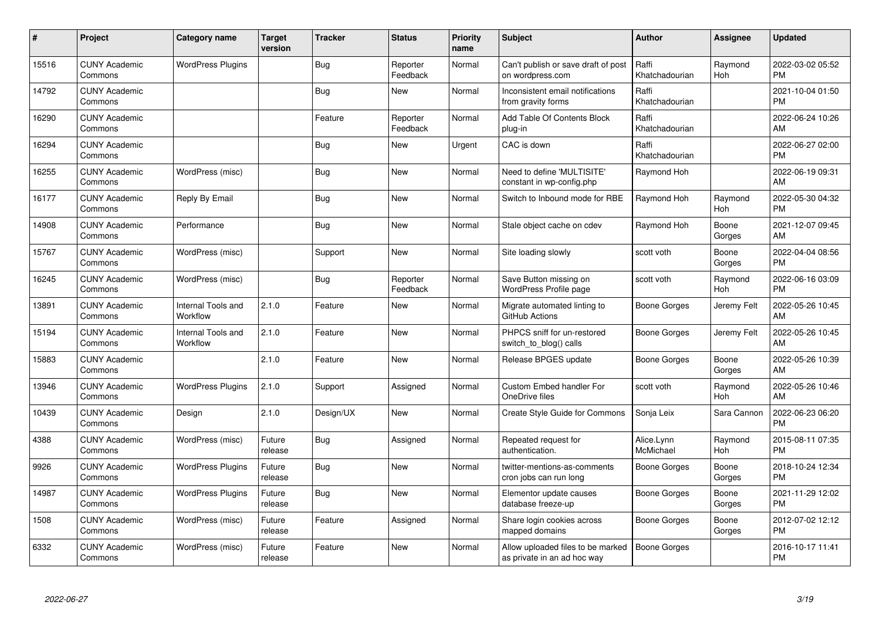| #     | Project                         | <b>Category name</b>           | <b>Target</b><br>version | <b>Tracker</b> | <b>Status</b>        | <b>Priority</b><br>name | <b>Subject</b>                                                   | <b>Author</b>           | <b>Assignee</b>       | <b>Updated</b>                |
|-------|---------------------------------|--------------------------------|--------------------------|----------------|----------------------|-------------------------|------------------------------------------------------------------|-------------------------|-----------------------|-------------------------------|
| 15516 | <b>CUNY Academic</b><br>Commons | <b>WordPress Plugins</b>       |                          | <b>Bug</b>     | Reporter<br>Feedback | Normal                  | Can't publish or save draft of post<br>on wordpress.com          | Raffi<br>Khatchadourian | Raymond<br>Hoh        | 2022-03-02 05:52<br><b>PM</b> |
| 14792 | <b>CUNY Academic</b><br>Commons |                                |                          | <b>Bug</b>     | <b>New</b>           | Normal                  | Inconsistent email notifications<br>from gravity forms           | Raffi<br>Khatchadourian |                       | 2021-10-04 01:50<br><b>PM</b> |
| 16290 | <b>CUNY Academic</b><br>Commons |                                |                          | Feature        | Reporter<br>Feedback | Normal                  | Add Table Of Contents Block<br>plug-in                           | Raffi<br>Khatchadourian |                       | 2022-06-24 10:26<br>AM        |
| 16294 | <b>CUNY Academic</b><br>Commons |                                |                          | <b>Bug</b>     | New                  | Urgent                  | CAC is down                                                      | Raffi<br>Khatchadourian |                       | 2022-06-27 02:00<br><b>PM</b> |
| 16255 | <b>CUNY Academic</b><br>Commons | WordPress (misc)               |                          | Bug            | <b>New</b>           | Normal                  | Need to define 'MULTISITE'<br>constant in wp-config.php          | Raymond Hoh             |                       | 2022-06-19 09:31<br>AM        |
| 16177 | <b>CUNY Academic</b><br>Commons | Reply By Email                 |                          | <b>Bug</b>     | New                  | Normal                  | Switch to Inbound mode for RBE                                   | Raymond Hoh             | Raymond<br><b>Hoh</b> | 2022-05-30 04:32<br><b>PM</b> |
| 14908 | <b>CUNY Academic</b><br>Commons | Performance                    |                          | Bug            | New                  | Normal                  | Stale object cache on cdev                                       | Raymond Hoh             | Boone<br>Gorges       | 2021-12-07 09:45<br>AM        |
| 15767 | <b>CUNY Academic</b><br>Commons | WordPress (misc)               |                          | Support        | New                  | Normal                  | Site loading slowly                                              | scott voth              | Boone<br>Gorges       | 2022-04-04 08:56<br><b>PM</b> |
| 16245 | <b>CUNY Academic</b><br>Commons | WordPress (misc)               |                          | Bug            | Reporter<br>Feedback | Normal                  | Save Button missing on<br>WordPress Profile page                 | scott voth              | Raymond<br>Hoh        | 2022-06-16 03:09<br><b>PM</b> |
| 13891 | <b>CUNY Academic</b><br>Commons | Internal Tools and<br>Workflow | 2.1.0                    | Feature        | New                  | Normal                  | Migrate automated linting to<br>GitHub Actions                   | Boone Gorges            | Jeremy Felt           | 2022-05-26 10:45<br>AM        |
| 15194 | <b>CUNY Academic</b><br>Commons | Internal Tools and<br>Workflow | 2.1.0                    | Feature        | <b>New</b>           | Normal                  | PHPCS sniff for un-restored<br>switch_to_blog() calls            | Boone Gorges            | Jeremy Felt           | 2022-05-26 10:45<br>AM        |
| 15883 | <b>CUNY Academic</b><br>Commons |                                | 2.1.0                    | Feature        | <b>New</b>           | Normal                  | Release BPGES update                                             | Boone Gorges            | Boone<br>Gorges       | 2022-05-26 10:39<br>AM        |
| 13946 | <b>CUNY Academic</b><br>Commons | <b>WordPress Plugins</b>       | 2.1.0                    | Support        | Assigned             | Normal                  | <b>Custom Embed handler For</b><br>OneDrive files                | scott voth              | Raymond<br>Hoh        | 2022-05-26 10:46<br>AM        |
| 10439 | <b>CUNY Academic</b><br>Commons | Design                         | 2.1.0                    | Design/UX      | <b>New</b>           | Normal                  | <b>Create Style Guide for Commons</b>                            | Sonja Leix              | Sara Cannon           | 2022-06-23 06:20<br><b>PM</b> |
| 4388  | <b>CUNY Academic</b><br>Commons | WordPress (misc)               | Future<br>release        | <b>Bug</b>     | Assigned             | Normal                  | Repeated request for<br>authentication.                          | Alice.Lynn<br>McMichael | Raymond<br>Hoh        | 2015-08-11 07:35<br><b>PM</b> |
| 9926  | <b>CUNY Academic</b><br>Commons | <b>WordPress Plugins</b>       | Future<br>release        | Bug            | New                  | Normal                  | twitter-mentions-as-comments<br>cron jobs can run long           | Boone Gorges            | Boone<br>Gorges       | 2018-10-24 12:34<br><b>PM</b> |
| 14987 | <b>CUNY Academic</b><br>Commons | <b>WordPress Plugins</b>       | Future<br>release        | <b>Bug</b>     | New                  | Normal                  | Elementor update causes<br>database freeze-up                    | Boone Gorges            | Boone<br>Gorges       | 2021-11-29 12:02<br><b>PM</b> |
| 1508  | <b>CUNY Academic</b><br>Commons | WordPress (misc)               | Future<br>release        | Feature        | Assigned             | Normal                  | Share login cookies across<br>mapped domains                     | Boone Gorges            | Boone<br>Gorges       | 2012-07-02 12:12<br><b>PM</b> |
| 6332  | <b>CUNY Academic</b><br>Commons | WordPress (misc)               | Future<br>release        | Feature        | <b>New</b>           | Normal                  | Allow uploaded files to be marked<br>as private in an ad hoc way | Boone Gorges            |                       | 2016-10-17 11:41<br><b>PM</b> |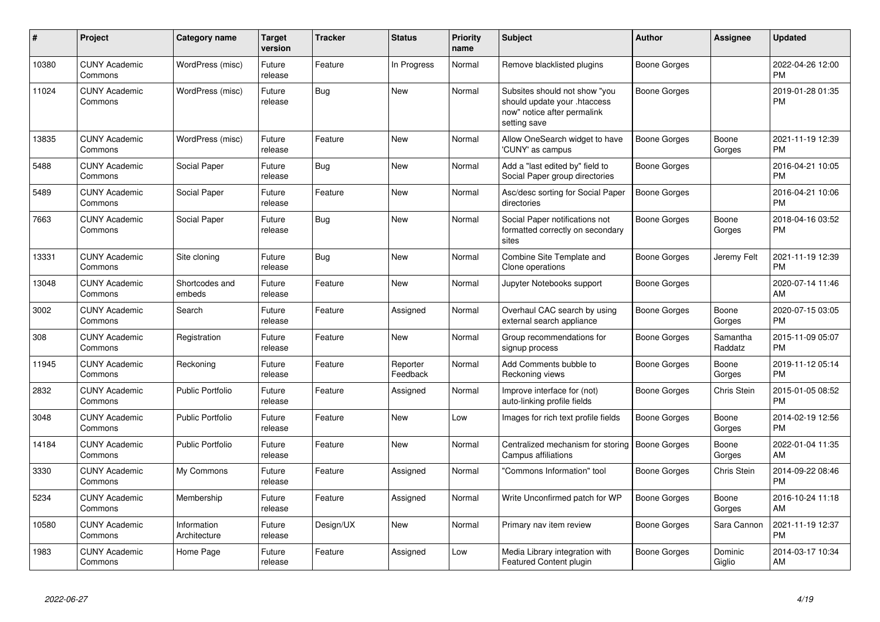| #     | Project                         | <b>Category name</b>        | <b>Target</b><br>version | <b>Tracker</b> | <b>Status</b>        | <b>Priority</b><br>name | <b>Subject</b>                                                                                               | <b>Author</b>       | Assignee            | <b>Updated</b>                |
|-------|---------------------------------|-----------------------------|--------------------------|----------------|----------------------|-------------------------|--------------------------------------------------------------------------------------------------------------|---------------------|---------------------|-------------------------------|
| 10380 | <b>CUNY Academic</b><br>Commons | WordPress (misc)            | Future<br>release        | Feature        | In Progress          | Normal                  | Remove blacklisted plugins                                                                                   | Boone Gorges        |                     | 2022-04-26 12:00<br><b>PM</b> |
| 11024 | <b>CUNY Academic</b><br>Commons | WordPress (misc)            | Future<br>release        | Bug            | New                  | Normal                  | Subsites should not show "you<br>should update your .htaccess<br>now" notice after permalink<br>setting save | Boone Gorges        |                     | 2019-01-28 01:35<br>PM        |
| 13835 | <b>CUNY Academic</b><br>Commons | WordPress (misc)            | Future<br>release        | Feature        | <b>New</b>           | Normal                  | Allow OneSearch widget to have<br>'CUNY' as campus                                                           | Boone Gorges        | Boone<br>Gorges     | 2021-11-19 12:39<br><b>PM</b> |
| 5488  | <b>CUNY Academic</b><br>Commons | Social Paper                | Future<br>release        | <b>Bug</b>     | <b>New</b>           | Normal                  | Add a "last edited by" field to<br>Social Paper group directories                                            | <b>Boone Gorges</b> |                     | 2016-04-21 10:05<br><b>PM</b> |
| 5489  | <b>CUNY Academic</b><br>Commons | Social Paper                | Future<br>release        | Feature        | New                  | Normal                  | Asc/desc sorting for Social Paper<br>directories                                                             | <b>Boone Gorges</b> |                     | 2016-04-21 10:06<br><b>PM</b> |
| 7663  | <b>CUNY Academic</b><br>Commons | Social Paper                | Future<br>release        | <b>Bug</b>     | New                  | Normal                  | Social Paper notifications not<br>formatted correctly on secondary<br>sites                                  | <b>Boone Gorges</b> | Boone<br>Gorges     | 2018-04-16 03:52<br><b>PM</b> |
| 13331 | <b>CUNY Academic</b><br>Commons | Site cloning                | Future<br>release        | <b>Bug</b>     | <b>New</b>           | Normal                  | Combine Site Template and<br>Clone operations                                                                | Boone Gorges        | Jeremy Felt         | 2021-11-19 12:39<br>PM        |
| 13048 | <b>CUNY Academic</b><br>Commons | Shortcodes and<br>embeds    | Future<br>release        | Feature        | <b>New</b>           | Normal                  | Jupyter Notebooks support                                                                                    | Boone Gorges        |                     | 2020-07-14 11:46<br>AM        |
| 3002  | <b>CUNY Academic</b><br>Commons | Search                      | Future<br>release        | Feature        | Assigned             | Normal                  | Overhaul CAC search by using<br>external search appliance                                                    | <b>Boone Gorges</b> | Boone<br>Gorges     | 2020-07-15 03:05<br><b>PM</b> |
| 308   | <b>CUNY Academic</b><br>Commons | Registration                | Future<br>release        | Feature        | <b>New</b>           | Normal                  | Group recommendations for<br>signup process                                                                  | Boone Gorges        | Samantha<br>Raddatz | 2015-11-09 05:07<br><b>PM</b> |
| 11945 | <b>CUNY Academic</b><br>Commons | Reckoning                   | Future<br>release        | Feature        | Reporter<br>Feedback | Normal                  | Add Comments bubble to<br>Reckoning views                                                                    | Boone Gorges        | Boone<br>Gorges     | 2019-11-12 05:14<br><b>PM</b> |
| 2832  | <b>CUNY Academic</b><br>Commons | <b>Public Portfolio</b>     | Future<br>release        | Feature        | Assigned             | Normal                  | Improve interface for (not)<br>auto-linking profile fields                                                   | Boone Gorges        | Chris Stein         | 2015-01-05 08:52<br><b>PM</b> |
| 3048  | <b>CUNY Academic</b><br>Commons | <b>Public Portfolio</b>     | Future<br>release        | Feature        | <b>New</b>           | Low                     | Images for rich text profile fields                                                                          | Boone Gorges        | Boone<br>Gorges     | 2014-02-19 12:56<br>PM        |
| 14184 | <b>CUNY Academic</b><br>Commons | Public Portfolio            | Future<br>release        | Feature        | <b>New</b>           | Normal                  | Centralized mechanism for storing   Boone Gorges<br>Campus affiliations                                      |                     | Boone<br>Gorges     | 2022-01-04 11:35<br>AM        |
| 3330  | <b>CUNY Academic</b><br>Commons | My Commons                  | Future<br>release        | Feature        | Assigned             | Normal                  | 'Commons Information" tool                                                                                   | <b>Boone Gorges</b> | Chris Stein         | 2014-09-22 08:46<br>PM        |
| 5234  | <b>CUNY Academic</b><br>Commons | Membership                  | Future<br>release        | Feature        | Assigned             | Normal                  | Write Unconfirmed patch for WP                                                                               | Boone Gorges        | Boone<br>Gorges     | 2016-10-24 11:18<br>AM        |
| 10580 | <b>CUNY Academic</b><br>Commons | Information<br>Architecture | Future<br>release        | Design/UX      | <b>New</b>           | Normal                  | Primary nav item review                                                                                      | Boone Gorges        | Sara Cannon         | 2021-11-19 12:37<br><b>PM</b> |
| 1983  | <b>CUNY Academic</b><br>Commons | Home Page                   | Future<br>release        | Feature        | Assigned             | Low                     | Media Library integration with<br>Featured Content plugin                                                    | Boone Gorges        | Dominic<br>Giglio   | 2014-03-17 10:34<br>AM        |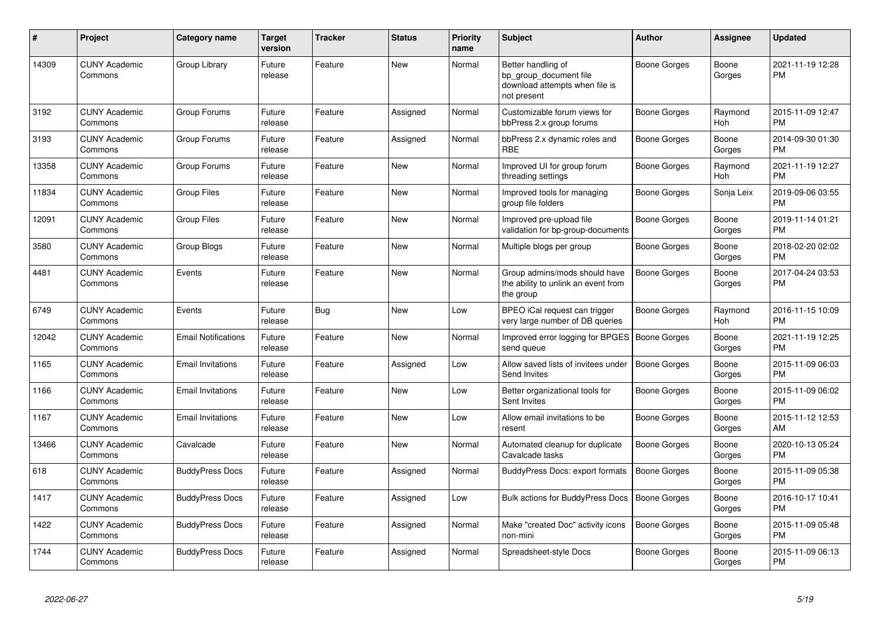| #     | Project                         | <b>Category name</b>       | Target<br>version | <b>Tracker</b> | <b>Status</b> | <b>Priority</b><br>name | <b>Subject</b>                                                                                | <b>Author</b>       | <b>Assignee</b>       | <b>Updated</b>                |
|-------|---------------------------------|----------------------------|-------------------|----------------|---------------|-------------------------|-----------------------------------------------------------------------------------------------|---------------------|-----------------------|-------------------------------|
| 14309 | <b>CUNY Academic</b><br>Commons | Group Library              | Future<br>release | Feature        | <b>New</b>    | Normal                  | Better handling of<br>bp_group_document file<br>download attempts when file is<br>not present | Boone Gorges        | Boone<br>Gorges       | 2021-11-19 12:28<br><b>PM</b> |
| 3192  | <b>CUNY Academic</b><br>Commons | Group Forums               | Future<br>release | Feature        | Assigned      | Normal                  | Customizable forum views for<br>bbPress 2.x group forums                                      | Boone Gorges        | Raymond<br>Hoh        | 2015-11-09 12:47<br><b>PM</b> |
| 3193  | <b>CUNY Academic</b><br>Commons | Group Forums               | Future<br>release | Feature        | Assigned      | Normal                  | bbPress 2.x dynamic roles and<br><b>RBE</b>                                                   | Boone Gorges        | Boone<br>Gorges       | 2014-09-30 01:30<br><b>PM</b> |
| 13358 | <b>CUNY Academic</b><br>Commons | Group Forums               | Future<br>release | Feature        | <b>New</b>    | Normal                  | Improved UI for group forum<br>threading settings                                             | Boone Gorges        | Raymond<br><b>Hoh</b> | 2021-11-19 12:27<br><b>PM</b> |
| 11834 | <b>CUNY Academic</b><br>Commons | <b>Group Files</b>         | Future<br>release | Feature        | <b>New</b>    | Normal                  | Improved tools for managing<br>group file folders                                             | Boone Gorges        | Sonja Leix            | 2019-09-06 03:55<br><b>PM</b> |
| 12091 | <b>CUNY Academic</b><br>Commons | <b>Group Files</b>         | Future<br>release | Feature        | <b>New</b>    | Normal                  | Improved pre-upload file<br>validation for bp-group-documents                                 | Boone Gorges        | Boone<br>Gorges       | 2019-11-14 01:21<br><b>PM</b> |
| 3580  | <b>CUNY Academic</b><br>Commons | Group Blogs                | Future<br>release | Feature        | New           | Normal                  | Multiple blogs per group                                                                      | Boone Gorges        | Boone<br>Gorges       | 2018-02-20 02:02<br><b>PM</b> |
| 4481  | <b>CUNY Academic</b><br>Commons | Events                     | Future<br>release | Feature        | <b>New</b>    | Normal                  | Group admins/mods should have<br>the ability to unlink an event from<br>the group             | <b>Boone Gorges</b> | Boone<br>Gorges       | 2017-04-24 03:53<br><b>PM</b> |
| 6749  | <b>CUNY Academic</b><br>Commons | Events                     | Future<br>release | <b>Bug</b>     | <b>New</b>    | Low                     | BPEO iCal request can trigger<br>very large number of DB queries                              | Boone Gorges        | Raymond<br>Hoh        | 2016-11-15 10:09<br><b>PM</b> |
| 12042 | <b>CUNY Academic</b><br>Commons | <b>Email Notifications</b> | Future<br>release | Feature        | <b>New</b>    | Normal                  | Improved error logging for BPGES<br>send queue                                                | <b>Boone Gorges</b> | Boone<br>Gorges       | 2021-11-19 12:25<br><b>PM</b> |
| 1165  | <b>CUNY Academic</b><br>Commons | <b>Email Invitations</b>   | Future<br>release | Feature        | Assigned      | Low                     | Allow saved lists of invitees under<br>Send Invites                                           | Boone Gorges        | Boone<br>Gorges       | 2015-11-09 06:03<br><b>PM</b> |
| 1166  | <b>CUNY Academic</b><br>Commons | <b>Email Invitations</b>   | Future<br>release | Feature        | New           | Low                     | Better organizational tools for<br>Sent Invites                                               | Boone Gorges        | Boone<br>Gorges       | 2015-11-09 06:02<br><b>PM</b> |
| 1167  | <b>CUNY Academic</b><br>Commons | <b>Email Invitations</b>   | Future<br>release | Feature        | New           | Low                     | Allow email invitations to be<br>resent                                                       | Boone Gorges        | Boone<br>Gorges       | 2015-11-12 12:53<br>AM        |
| 13466 | <b>CUNY Academic</b><br>Commons | Cavalcade                  | Future<br>release | Feature        | New           | Normal                  | Automated cleanup for duplicate<br>Cavalcade tasks                                            | Boone Gorges        | Boone<br>Gorges       | 2020-10-13 05:24<br><b>PM</b> |
| 618   | <b>CUNY Academic</b><br>Commons | <b>BuddyPress Docs</b>     | Future<br>release | Feature        | Assigned      | Normal                  | BuddyPress Docs: export formats                                                               | <b>Boone Gorges</b> | Boone<br>Gorges       | 2015-11-09 05:38<br><b>PM</b> |
| 1417  | <b>CUNY Academic</b><br>Commons | <b>BuddyPress Docs</b>     | Future<br>release | Feature        | Assigned      | Low                     | Bulk actions for BuddyPress Docs                                                              | <b>Boone Gorges</b> | Boone<br>Gorges       | 2016-10-17 10:41<br><b>PM</b> |
| 1422  | <b>CUNY Academic</b><br>Commons | <b>BuddyPress Docs</b>     | Future<br>release | Feature        | Assigned      | Normal                  | Make "created Doc" activity icons<br>non-mini                                                 | <b>Boone Gorges</b> | Boone<br>Gorges       | 2015-11-09 05:48<br><b>PM</b> |
| 1744  | <b>CUNY Academic</b><br>Commons | <b>BuddyPress Docs</b>     | Future<br>release | Feature        | Assigned      | Normal                  | Spreadsheet-style Docs                                                                        | Boone Gorges        | Boone<br>Gorges       | 2015-11-09 06:13<br><b>PM</b> |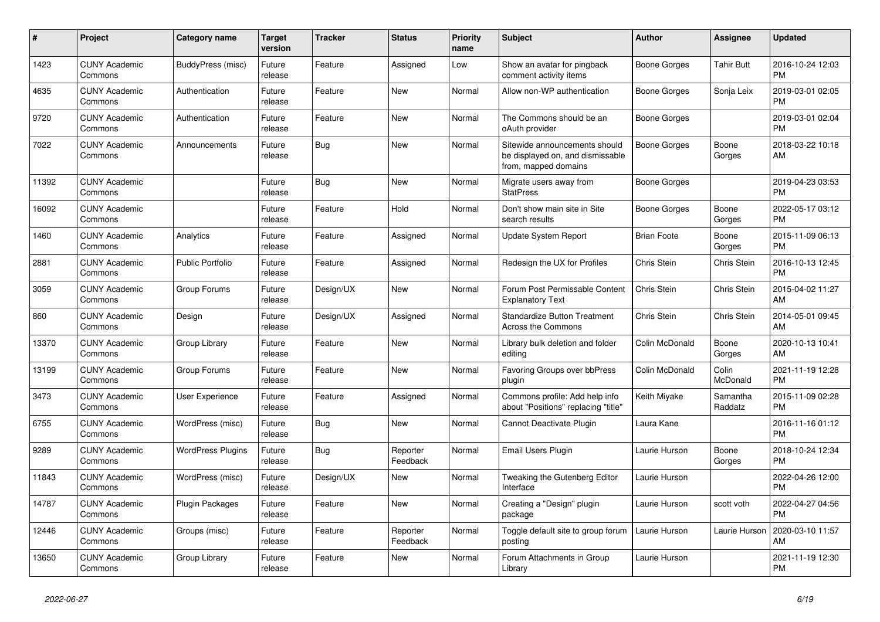| #     | <b>Project</b>                  | <b>Category name</b>     | Target<br>version | Tracker   | <b>Status</b>        | <b>Priority</b><br>name | <b>Subject</b>                                                                            | <b>Author</b>       | <b>Assignee</b>     | <b>Updated</b>                |
|-------|---------------------------------|--------------------------|-------------------|-----------|----------------------|-------------------------|-------------------------------------------------------------------------------------------|---------------------|---------------------|-------------------------------|
| 1423  | <b>CUNY Academic</b><br>Commons | BuddyPress (misc)        | Future<br>release | Feature   | Assigned             | Low                     | Show an avatar for pingback<br>comment activity items                                     | Boone Gorges        | <b>Tahir Butt</b>   | 2016-10-24 12:03<br><b>PM</b> |
| 4635  | <b>CUNY Academic</b><br>Commons | Authentication           | Future<br>release | Feature   | <b>New</b>           | Normal                  | Allow non-WP authentication                                                               | Boone Gorges        | Sonja Leix          | 2019-03-01 02:05<br><b>PM</b> |
| 9720  | <b>CUNY Academic</b><br>Commons | Authentication           | Future<br>release | Feature   | <b>New</b>           | Normal                  | The Commons should be an<br>oAuth provider                                                | Boone Gorges        |                     | 2019-03-01 02:04<br><b>PM</b> |
| 7022  | <b>CUNY Academic</b><br>Commons | Announcements            | Future<br>release | Bug       | <b>New</b>           | Normal                  | Sitewide announcements should<br>be displayed on, and dismissable<br>from, mapped domains | <b>Boone Gorges</b> | Boone<br>Gorges     | 2018-03-22 10:18<br>AM        |
| 11392 | <b>CUNY Academic</b><br>Commons |                          | Future<br>release | Bug       | <b>New</b>           | Normal                  | Migrate users away from<br><b>StatPress</b>                                               | Boone Gorges        |                     | 2019-04-23 03:53<br><b>PM</b> |
| 16092 | <b>CUNY Academic</b><br>Commons |                          | Future<br>release | Feature   | Hold                 | Normal                  | Don't show main site in Site<br>search results                                            | Boone Gorges        | Boone<br>Gorges     | 2022-05-17 03:12<br><b>PM</b> |
| 1460  | <b>CUNY Academic</b><br>Commons | Analytics                | Future<br>release | Feature   | Assigned             | Normal                  | <b>Update System Report</b>                                                               | <b>Brian Foote</b>  | Boone<br>Gorges     | 2015-11-09 06:13<br><b>PM</b> |
| 2881  | <b>CUNY Academic</b><br>Commons | <b>Public Portfolio</b>  | Future<br>release | Feature   | Assigned             | Normal                  | Redesign the UX for Profiles                                                              | <b>Chris Stein</b>  | Chris Stein         | 2016-10-13 12:45<br><b>PM</b> |
| 3059  | <b>CUNY Academic</b><br>Commons | Group Forums             | Future<br>release | Design/UX | <b>New</b>           | Normal                  | Forum Post Permissable Content<br><b>Explanatory Text</b>                                 | Chris Stein         | Chris Stein         | 2015-04-02 11:27<br>AM        |
| 860   | <b>CUNY Academic</b><br>Commons | Design                   | Future<br>release | Design/UX | Assigned             | Normal                  | <b>Standardize Button Treatment</b><br><b>Across the Commons</b>                          | Chris Stein         | Chris Stein         | 2014-05-01 09:45<br>AM        |
| 13370 | <b>CUNY Academic</b><br>Commons | Group Library            | Future<br>release | Feature   | <b>New</b>           | Normal                  | Library bulk deletion and folder<br>editing                                               | Colin McDonald      | Boone<br>Gorges     | 2020-10-13 10:41<br>AM        |
| 13199 | <b>CUNY Academic</b><br>Commons | Group Forums             | Future<br>release | Feature   | <b>New</b>           | Normal                  | <b>Favoring Groups over bbPress</b><br>plugin                                             | Colin McDonald      | Colin<br>McDonald   | 2021-11-19 12:28<br><b>PM</b> |
| 3473  | <b>CUNY Academic</b><br>Commons | User Experience          | Future<br>release | Feature   | Assigned             | Normal                  | Commons profile: Add help info<br>about "Positions" replacing "title"                     | Keith Miyake        | Samantha<br>Raddatz | 2015-11-09 02:28<br><b>PM</b> |
| 6755  | <b>CUNY Academic</b><br>Commons | WordPress (misc)         | Future<br>release | Bug       | New                  | Normal                  | Cannot Deactivate Plugin                                                                  | Laura Kane          |                     | 2016-11-16 01:12<br><b>PM</b> |
| 9289  | <b>CUNY Academic</b><br>Commons | <b>WordPress Plugins</b> | Future<br>release | Bug       | Reporter<br>Feedback | Normal                  | Email Users Plugin                                                                        | Laurie Hurson       | Boone<br>Gorges     | 2018-10-24 12:34<br><b>PM</b> |
| 11843 | <b>CUNY Academic</b><br>Commons | WordPress (misc)         | Future<br>release | Design/UX | <b>New</b>           | Normal                  | Tweaking the Gutenberg Editor<br>Interface                                                | Laurie Hurson       |                     | 2022-04-26 12:00<br><b>PM</b> |
| 14787 | <b>CUNY Academic</b><br>Commons | Plugin Packages          | Future<br>release | Feature   | <b>New</b>           | Normal                  | Creating a "Design" plugin<br>package                                                     | Laurie Hurson       | scott voth          | 2022-04-27 04:56<br><b>PM</b> |
| 12446 | <b>CUNY Academic</b><br>Commons | Groups (misc)            | Future<br>release | Feature   | Reporter<br>Feedback | Normal                  | Toggle default site to group forum<br>posting                                             | Laurie Hurson       | Laurie Hurson       | 2020-03-10 11:57<br>AM        |
| 13650 | <b>CUNY Academic</b><br>Commons | Group Library            | Future<br>release | Feature   | <b>New</b>           | Normal                  | Forum Attachments in Group<br>Library                                                     | Laurie Hurson       |                     | 2021-11-19 12:30<br><b>PM</b> |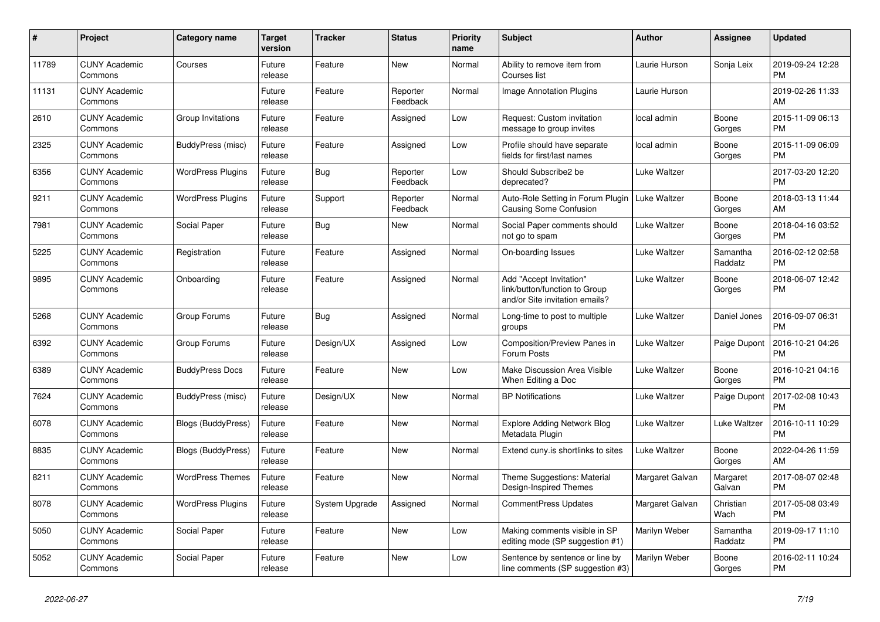| $\pmb{\#}$ | <b>Project</b>                  | Category name             | <b>Target</b><br>version | <b>Tracker</b> | <b>Status</b>        | <b>Priority</b><br>name | <b>Subject</b>                                                                             | <b>Author</b>   | <b>Assignee</b>     | <b>Updated</b>                |
|------------|---------------------------------|---------------------------|--------------------------|----------------|----------------------|-------------------------|--------------------------------------------------------------------------------------------|-----------------|---------------------|-------------------------------|
| 11789      | <b>CUNY Academic</b><br>Commons | Courses                   | Future<br>release        | Feature        | <b>New</b>           | Normal                  | Ability to remove item from<br>Courses list                                                | Laurie Hurson   | Sonja Leix          | 2019-09-24 12:28<br><b>PM</b> |
| 11131      | <b>CUNY Academic</b><br>Commons |                           | Future<br>release        | Feature        | Reporter<br>Feedback | Normal                  | Image Annotation Plugins                                                                   | Laurie Hurson   |                     | 2019-02-26 11:33<br>AM        |
| 2610       | <b>CUNY Academic</b><br>Commons | Group Invitations         | Future<br>release        | Feature        | Assigned             | Low                     | Request: Custom invitation<br>message to group invites                                     | local admin     | Boone<br>Gorges     | 2015-11-09 06:13<br><b>PM</b> |
| 2325       | <b>CUNY Academic</b><br>Commons | BuddyPress (misc)         | Future<br>release        | Feature        | Assigned             | Low                     | Profile should have separate<br>fields for first/last names                                | local admin     | Boone<br>Gorges     | 2015-11-09 06:09<br><b>PM</b> |
| 6356       | <b>CUNY Academic</b><br>Commons | <b>WordPress Plugins</b>  | Future<br>release        | <b>Bug</b>     | Reporter<br>Feedback | Low                     | Should Subscribe2 be<br>deprecated?                                                        | Luke Waltzer    |                     | 2017-03-20 12:20<br><b>PM</b> |
| 9211       | <b>CUNY Academic</b><br>Commons | <b>WordPress Plugins</b>  | Future<br>release        | Support        | Reporter<br>Feedback | Normal                  | Auto-Role Setting in Forum Plugin<br><b>Causing Some Confusion</b>                         | Luke Waltzer    | Boone<br>Gorges     | 2018-03-13 11:44<br>AM        |
| 7981       | <b>CUNY Academic</b><br>Commons | Social Paper              | Future<br>release        | <b>Bug</b>     | <b>New</b>           | Normal                  | Social Paper comments should<br>not go to spam                                             | Luke Waltzer    | Boone<br>Gorges     | 2018-04-16 03:52<br><b>PM</b> |
| 5225       | <b>CUNY Academic</b><br>Commons | Registration              | Future<br>release        | Feature        | Assigned             | Normal                  | On-boarding Issues                                                                         | Luke Waltzer    | Samantha<br>Raddatz | 2016-02-12 02:58<br><b>PM</b> |
| 9895       | <b>CUNY Academic</b><br>Commons | Onboarding                | Future<br>release        | Feature        | Assigned             | Normal                  | Add "Accept Invitation"<br>link/button/function to Group<br>and/or Site invitation emails? | Luke Waltzer    | Boone<br>Gorges     | 2018-06-07 12:42<br><b>PM</b> |
| 5268       | <b>CUNY Academic</b><br>Commons | Group Forums              | Future<br>release        | Bug            | Assigned             | Normal                  | Long-time to post to multiple<br>groups                                                    | Luke Waltzer    | Daniel Jones        | 2016-09-07 06:31<br><b>PM</b> |
| 6392       | <b>CUNY Academic</b><br>Commons | Group Forums              | Future<br>release        | Design/UX      | Assigned             | Low                     | Composition/Preview Panes in<br>Forum Posts                                                | Luke Waltzer    | Paige Dupont        | 2016-10-21 04:26<br><b>PM</b> |
| 6389       | <b>CUNY Academic</b><br>Commons | <b>BuddyPress Docs</b>    | Future<br>release        | Feature        | New                  | Low                     | Make Discussion Area Visible<br>When Editing a Doc                                         | Luke Waltzer    | Boone<br>Gorges     | 2016-10-21 04:16<br><b>PM</b> |
| 7624       | <b>CUNY Academic</b><br>Commons | BuddyPress (misc)         | Future<br>release        | Design/UX      | <b>New</b>           | Normal                  | <b>BP Notifications</b>                                                                    | Luke Waltzer    | Paige Dupont        | 2017-02-08 10:43<br><b>PM</b> |
| 6078       | <b>CUNY Academic</b><br>Commons | Blogs (BuddyPress)        | Future<br>release        | Feature        | <b>New</b>           | Normal                  | <b>Explore Adding Network Blog</b><br>Metadata Plugin                                      | Luke Waltzer    | Luke Waltzer        | 2016-10-11 10:29<br><b>PM</b> |
| 8835       | <b>CUNY Academic</b><br>Commons | <b>Blogs (BuddyPress)</b> | Future<br>release        | Feature        | <b>New</b>           | Normal                  | Extend cuny is shortlinks to sites                                                         | Luke Waltzer    | Boone<br>Gorges     | 2022-04-26 11:59<br>AM        |
| 8211       | <b>CUNY Academic</b><br>Commons | <b>WordPress Themes</b>   | Future<br>release        | Feature        | <b>New</b>           | Normal                  | Theme Suggestions: Material<br>Design-Inspired Themes                                      | Margaret Galvan | Margaret<br>Galvan  | 2017-08-07 02:48<br><b>PM</b> |
| 8078       | <b>CUNY Academic</b><br>Commons | <b>WordPress Plugins</b>  | Future<br>release        | System Upgrade | Assigned             | Normal                  | <b>CommentPress Updates</b>                                                                | Margaret Galvan | Christian<br>Wach   | 2017-05-08 03:49<br><b>PM</b> |
| 5050       | <b>CUNY Academic</b><br>Commons | Social Paper              | Future<br>release        | Feature        | <b>New</b>           | Low                     | Making comments visible in SP<br>editing mode (SP suggestion #1)                           | Marilyn Weber   | Samantha<br>Raddatz | 2019-09-17 11:10<br><b>PM</b> |
| 5052       | <b>CUNY Academic</b><br>Commons | Social Paper              | Future<br>release        | Feature        | <b>New</b>           | Low                     | Sentence by sentence or line by<br>line comments (SP suggestion #3)                        | Marilyn Weber   | Boone<br>Gorges     | 2016-02-11 10:24<br><b>PM</b> |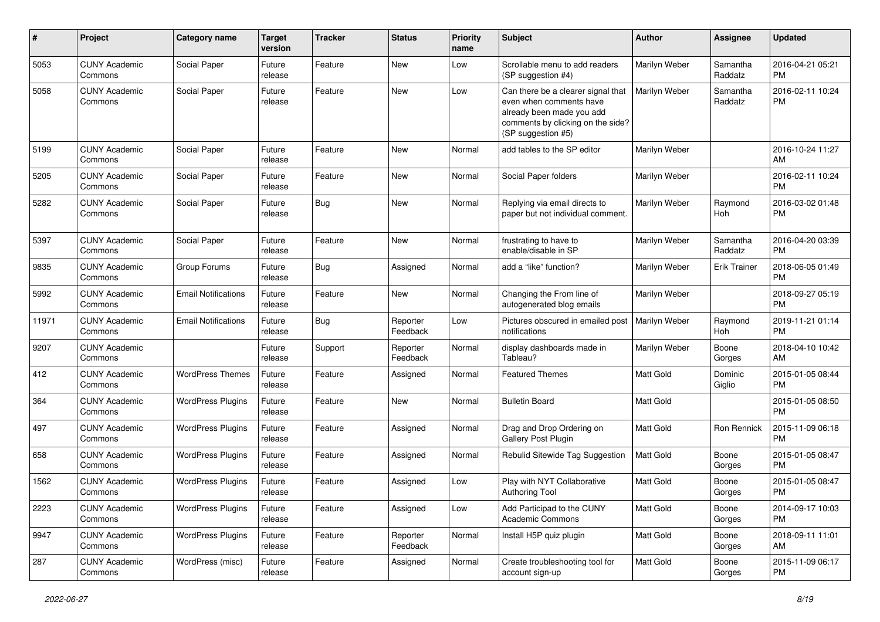| $\#$  | Project                         | <b>Category name</b>       | <b>Target</b><br>version | <b>Tracker</b> | <b>Status</b>        | <b>Priority</b><br>name | <b>Subject</b>                                                                                                                                        | Author        | <b>Assignee</b>     | <b>Updated</b>                |
|-------|---------------------------------|----------------------------|--------------------------|----------------|----------------------|-------------------------|-------------------------------------------------------------------------------------------------------------------------------------------------------|---------------|---------------------|-------------------------------|
| 5053  | <b>CUNY Academic</b><br>Commons | Social Paper               | Future<br>release        | Feature        | <b>New</b>           | Low                     | Scrollable menu to add readers<br>(SP suggestion #4)                                                                                                  | Marilyn Weber | Samantha<br>Raddatz | 2016-04-21 05:21<br><b>PM</b> |
| 5058  | <b>CUNY Academic</b><br>Commons | Social Paper               | Future<br>release        | Feature        | New                  | Low                     | Can there be a clearer signal that<br>even when comments have<br>already been made you add<br>comments by clicking on the side?<br>(SP suggestion #5) | Marilyn Weber | Samantha<br>Raddatz | 2016-02-11 10:24<br><b>PM</b> |
| 5199  | <b>CUNY Academic</b><br>Commons | Social Paper               | Future<br>release        | Feature        | New                  | Normal                  | add tables to the SP editor                                                                                                                           | Marilyn Weber |                     | 2016-10-24 11:27<br>AM        |
| 5205  | <b>CUNY Academic</b><br>Commons | Social Paper               | Future<br>release        | Feature        | <b>New</b>           | Normal                  | Social Paper folders                                                                                                                                  | Marilyn Weber |                     | 2016-02-11 10:24<br><b>PM</b> |
| 5282  | <b>CUNY Academic</b><br>Commons | Social Paper               | Future<br>release        | <b>Bug</b>     | New                  | Normal                  | Replying via email directs to<br>paper but not individual comment.                                                                                    | Marilyn Weber | Raymond<br>Hoh      | 2016-03-02 01:48<br><b>PM</b> |
| 5397  | <b>CUNY Academic</b><br>Commons | Social Paper               | Future<br>release        | Feature        | <b>New</b>           | Normal                  | frustrating to have to<br>enable/disable in SP                                                                                                        | Marilyn Weber | Samantha<br>Raddatz | 2016-04-20 03:39<br><b>PM</b> |
| 9835  | <b>CUNY Academic</b><br>Commons | Group Forums               | Future<br>release        | <b>Bug</b>     | Assigned             | Normal                  | add a "like" function?                                                                                                                                | Marilyn Weber | <b>Erik Trainer</b> | 2018-06-05 01:49<br><b>PM</b> |
| 5992  | <b>CUNY Academic</b><br>Commons | <b>Email Notifications</b> | Future<br>release        | Feature        | New                  | Normal                  | Changing the From line of<br>autogenerated blog emails                                                                                                | Marilyn Weber |                     | 2018-09-27 05:19<br><b>PM</b> |
| 11971 | <b>CUNY Academic</b><br>Commons | <b>Email Notifications</b> | Future<br>release        | Bug            | Reporter<br>Feedback | Low                     | Pictures obscured in emailed post<br>notifications                                                                                                    | Marilyn Weber | Raymond<br>Hoh      | 2019-11-21 01:14<br><b>PM</b> |
| 9207  | <b>CUNY Academic</b><br>Commons |                            | Future<br>release        | Support        | Reporter<br>Feedback | Normal                  | display dashboards made in<br>Tableau?                                                                                                                | Marilyn Weber | Boone<br>Gorges     | 2018-04-10 10:42<br>AM        |
| 412   | <b>CUNY Academic</b><br>Commons | <b>WordPress Themes</b>    | Future<br>release        | Feature        | Assigned             | Normal                  | <b>Featured Themes</b>                                                                                                                                | Matt Gold     | Dominic<br>Giglio   | 2015-01-05 08:44<br><b>PM</b> |
| 364   | <b>CUNY Academic</b><br>Commons | <b>WordPress Plugins</b>   | Future<br>release        | Feature        | <b>New</b>           | Normal                  | <b>Bulletin Board</b>                                                                                                                                 | Matt Gold     |                     | 2015-01-05 08:50<br><b>PM</b> |
| 497   | <b>CUNY Academic</b><br>Commons | <b>WordPress Plugins</b>   | Future<br>release        | Feature        | Assigned             | Normal                  | Drag and Drop Ordering on<br>Gallery Post Plugin                                                                                                      | Matt Gold     | Ron Rennick         | 2015-11-09 06:18<br><b>PM</b> |
| 658   | <b>CUNY Academic</b><br>Commons | <b>WordPress Plugins</b>   | Future<br>release        | Feature        | Assigned             | Normal                  | Rebulid Sitewide Tag Suggestion                                                                                                                       | Matt Gold     | Boone<br>Gorges     | 2015-01-05 08:47<br><b>PM</b> |
| 1562  | <b>CUNY Academic</b><br>Commons | <b>WordPress Plugins</b>   | Future<br>release        | Feature        | Assigned             | Low                     | Play with NYT Collaborative<br><b>Authoring Tool</b>                                                                                                  | Matt Gold     | Boone<br>Gorges     | 2015-01-05 08:47<br><b>PM</b> |
| 2223  | <b>CUNY Academic</b><br>Commons | <b>WordPress Plugins</b>   | Future<br>release        | Feature        | Assigned             | Low                     | Add Participad to the CUNY<br>Academic Commons                                                                                                        | Matt Gold     | Boone<br>Gorges     | 2014-09-17 10:03<br><b>PM</b> |
| 9947  | <b>CUNY Academic</b><br>Commons | <b>WordPress Plugins</b>   | Future<br>release        | Feature        | Reporter<br>Feedback | Normal                  | Install H5P quiz plugin                                                                                                                               | Matt Gold     | Boone<br>Gorges     | 2018-09-11 11:01<br>AM        |
| 287   | <b>CUNY Academic</b><br>Commons | WordPress (misc)           | Future<br>release        | Feature        | Assigned             | Normal                  | Create troubleshooting tool for<br>account sign-up                                                                                                    | Matt Gold     | Boone<br>Gorges     | 2015-11-09 06:17<br>PM        |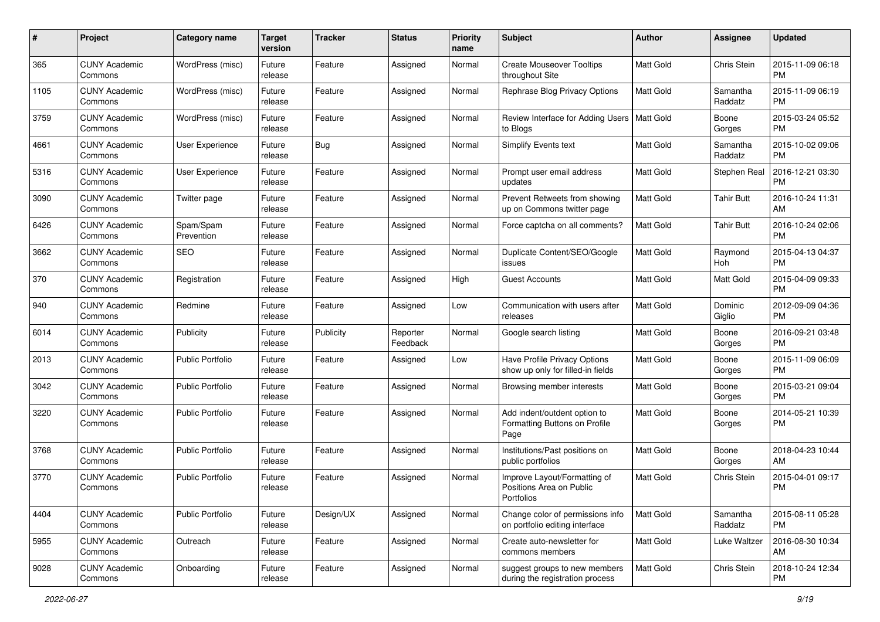| #    | Project                         | <b>Category name</b>    | <b>Target</b><br>version | <b>Tracker</b> | <b>Status</b>        | <b>Priority</b><br>name | Subject                                                                | Author           | Assignee            | <b>Updated</b>                |
|------|---------------------------------|-------------------------|--------------------------|----------------|----------------------|-------------------------|------------------------------------------------------------------------|------------------|---------------------|-------------------------------|
| 365  | <b>CUNY Academic</b><br>Commons | WordPress (misc)        | Future<br>release        | Feature        | Assigned             | Normal                  | <b>Create Mouseover Tooltips</b><br>throughout Site                    | <b>Matt Gold</b> | Chris Stein         | 2015-11-09 06:18<br><b>PM</b> |
| 1105 | <b>CUNY Academic</b><br>Commons | WordPress (misc)        | Future<br>release        | Feature        | Assigned             | Normal                  | Rephrase Blog Privacy Options                                          | <b>Matt Gold</b> | Samantha<br>Raddatz | 2015-11-09 06:19<br><b>PM</b> |
| 3759 | CUNY Academic<br>Commons        | WordPress (misc)        | Future<br>release        | Feature        | Assigned             | Normal                  | Review Interface for Adding Users<br>to Blogs                          | <b>Matt Gold</b> | Boone<br>Gorges     | 2015-03-24 05:52<br><b>PM</b> |
| 4661 | <b>CUNY Academic</b><br>Commons | User Experience         | Future<br>release        | <b>Bug</b>     | Assigned             | Normal                  | Simplify Events text                                                   | <b>Matt Gold</b> | Samantha<br>Raddatz | 2015-10-02 09:06<br><b>PM</b> |
| 5316 | CUNY Academic<br>Commons        | User Experience         | Future<br>release        | Feature        | Assigned             | Normal                  | Prompt user email address<br>updates                                   | <b>Matt Gold</b> | Stephen Real        | 2016-12-21 03:30<br><b>PM</b> |
| 3090 | <b>CUNY Academic</b><br>Commons | Twitter page            | Future<br>release        | Feature        | Assigned             | Normal                  | Prevent Retweets from showing<br>up on Commons twitter page            | <b>Matt Gold</b> | <b>Tahir Butt</b>   | 2016-10-24 11:31<br>AM        |
| 6426 | <b>CUNY Academic</b><br>Commons | Spam/Spam<br>Prevention | Future<br>release        | Feature        | Assigned             | Normal                  | Force captcha on all comments?                                         | Matt Gold        | Tahir Butt          | 2016-10-24 02:06<br><b>PM</b> |
| 3662 | <b>CUNY Academic</b><br>Commons | <b>SEO</b>              | Future<br>release        | Feature        | Assigned             | Normal                  | Duplicate Content/SEO/Google<br>issues                                 | <b>Matt Gold</b> | Raymond<br>Hoh      | 2015-04-13 04:37<br><b>PM</b> |
| 370  | <b>CUNY Academic</b><br>Commons | Registration            | Future<br>release        | Feature        | Assigned             | High                    | <b>Guest Accounts</b>                                                  | <b>Matt Gold</b> | <b>Matt Gold</b>    | 2015-04-09 09:33<br><b>PM</b> |
| 940  | CUNY Academic<br>Commons        | Redmine                 | Future<br>release        | Feature        | Assigned             | Low                     | Communication with users after<br>releases                             | Matt Gold        | Dominic<br>Giglio   | 2012-09-09 04:36<br><b>PM</b> |
| 6014 | <b>CUNY Academic</b><br>Commons | Publicity               | Future<br>release        | Publicity      | Reporter<br>Feedback | Normal                  | Google search listing                                                  | <b>Matt Gold</b> | Boone<br>Gorges     | 2016-09-21 03:48<br><b>PM</b> |
| 2013 | <b>CUNY Academic</b><br>Commons | <b>Public Portfolio</b> | Future<br>release        | Feature        | Assigned             | Low                     | Have Profile Privacy Options<br>show up only for filled-in fields      | <b>Matt Gold</b> | Boone<br>Gorges     | 2015-11-09 06:09<br><b>PM</b> |
| 3042 | <b>CUNY Academic</b><br>Commons | <b>Public Portfolio</b> | Future<br>release        | Feature        | Assigned             | Normal                  | Browsing member interests                                              | <b>Matt Gold</b> | Boone<br>Gorges     | 2015-03-21 09:04<br><b>PM</b> |
| 3220 | <b>CUNY Academic</b><br>Commons | <b>Public Portfolio</b> | Future<br>release        | Feature        | Assigned             | Normal                  | Add indent/outdent option to<br>Formatting Buttons on Profile<br>Page  | <b>Matt Gold</b> | Boone<br>Gorges     | 2014-05-21 10:39<br><b>PM</b> |
| 3768 | <b>CUNY Academic</b><br>Commons | <b>Public Portfolio</b> | Future<br>release        | Feature        | Assigned             | Normal                  | Institutions/Past positions on<br>public portfolios                    | <b>Matt Gold</b> | Boone<br>Gorges     | 2018-04-23 10:44<br>AM        |
| 3770 | <b>CUNY Academic</b><br>Commons | <b>Public Portfolio</b> | Future<br>release        | Feature        | Assigned             | Normal                  | Improve Layout/Formatting of<br>Positions Area on Public<br>Portfolios | <b>Matt Gold</b> | Chris Stein         | 2015-04-01 09:17<br><b>PM</b> |
| 4404 | <b>CUNY Academic</b><br>Commons | <b>Public Portfolio</b> | Future<br>release        | Design/UX      | Assigned             | Normal                  | Change color of permissions info<br>on portfolio editing interface     | Matt Gold        | Samantha<br>Raddatz | 2015-08-11 05:28<br><b>PM</b> |
| 5955 | <b>CUNY Academic</b><br>Commons | Outreach                | Future<br>release        | Feature        | Assigned             | Normal                  | Create auto-newsletter for<br>commons members                          | Matt Gold        | Luke Waltzer        | 2016-08-30 10:34<br>AM        |
| 9028 | <b>CUNY Academic</b><br>Commons | Onboarding              | Future<br>release        | Feature        | Assigned             | Normal                  | suggest groups to new members<br>during the registration process       | Matt Gold        | Chris Stein         | 2018-10-24 12:34<br>PM        |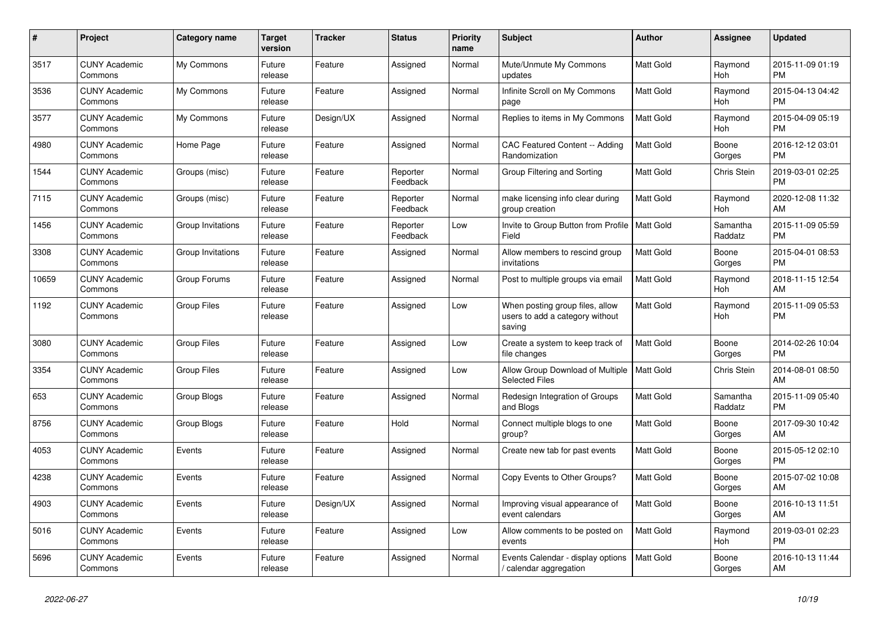| $\pmb{\#}$ | <b>Project</b>                  | Category name      | <b>Target</b><br>version | <b>Tracker</b> | <b>Status</b>        | <b>Priority</b><br>name | <b>Subject</b>                                                               | <b>Author</b>    | <b>Assignee</b>       | <b>Updated</b>                |
|------------|---------------------------------|--------------------|--------------------------|----------------|----------------------|-------------------------|------------------------------------------------------------------------------|------------------|-----------------------|-------------------------------|
| 3517       | <b>CUNY Academic</b><br>Commons | My Commons         | Future<br>release        | Feature        | Assigned             | Normal                  | Mute/Unmute My Commons<br>updates                                            | <b>Matt Gold</b> | Raymond<br><b>Hoh</b> | 2015-11-09 01:19<br><b>PM</b> |
| 3536       | <b>CUNY Academic</b><br>Commons | My Commons         | Future<br>release        | Feature        | Assigned             | Normal                  | Infinite Scroll on My Commons<br>page                                        | <b>Matt Gold</b> | Raymond<br>Hoh        | 2015-04-13 04:42<br><b>PM</b> |
| 3577       | <b>CUNY Academic</b><br>Commons | My Commons         | Future<br>release        | Design/UX      | Assigned             | Normal                  | Replies to items in My Commons                                               | Matt Gold        | Raymond<br>Hoh        | 2015-04-09 05:19<br><b>PM</b> |
| 4980       | <b>CUNY Academic</b><br>Commons | Home Page          | Future<br>release        | Feature        | Assigned             | Normal                  | CAC Featured Content -- Adding<br>Randomization                              | Matt Gold        | Boone<br>Gorges       | 2016-12-12 03:01<br><b>PM</b> |
| 1544       | <b>CUNY Academic</b><br>Commons | Groups (misc)      | Future<br>release        | Feature        | Reporter<br>Feedback | Normal                  | Group Filtering and Sorting                                                  | <b>Matt Gold</b> | Chris Stein           | 2019-03-01 02:25<br><b>PM</b> |
| 7115       | <b>CUNY Academic</b><br>Commons | Groups (misc)      | Future<br>release        | Feature        | Reporter<br>Feedback | Normal                  | make licensing info clear during<br>group creation                           | Matt Gold        | Raymond<br>Hoh        | 2020-12-08 11:32<br>AM        |
| 1456       | <b>CUNY Academic</b><br>Commons | Group Invitations  | Future<br>release        | Feature        | Reporter<br>Feedback | Low                     | Invite to Group Button from Profile   Matt Gold<br>Field                     |                  | Samantha<br>Raddatz   | 2015-11-09 05:59<br><b>PM</b> |
| 3308       | <b>CUNY Academic</b><br>Commons | Group Invitations  | Future<br>release        | Feature        | Assigned             | Normal                  | Allow members to rescind group<br>invitations                                | <b>Matt Gold</b> | Boone<br>Gorges       | 2015-04-01 08:53<br>PM        |
| 10659      | <b>CUNY Academic</b><br>Commons | Group Forums       | Future<br>release        | Feature        | Assigned             | Normal                  | Post to multiple groups via email                                            | <b>Matt Gold</b> | Raymond<br>Hoh        | 2018-11-15 12:54<br>AM        |
| 1192       | <b>CUNY Academic</b><br>Commons | <b>Group Files</b> | Future<br>release        | Feature        | Assigned             | Low                     | When posting group files, allow<br>users to add a category without<br>saving | <b>Matt Gold</b> | Raymond<br><b>Hoh</b> | 2015-11-09 05:53<br><b>PM</b> |
| 3080       | <b>CUNY Academic</b><br>Commons | <b>Group Files</b> | Future<br>release        | Feature        | Assigned             | Low                     | Create a system to keep track of<br>file changes                             | <b>Matt Gold</b> | Boone<br>Gorges       | 2014-02-26 10:04<br><b>PM</b> |
| 3354       | <b>CUNY Academic</b><br>Commons | <b>Group Files</b> | Future<br>release        | Feature        | Assigned             | Low                     | Allow Group Download of Multiple<br><b>Selected Files</b>                    | <b>Matt Gold</b> | Chris Stein           | 2014-08-01 08:50<br>AM        |
| 653        | <b>CUNY Academic</b><br>Commons | Group Blogs        | Future<br>release        | Feature        | Assigned             | Normal                  | Redesign Integration of Groups<br>and Blogs                                  | <b>Matt Gold</b> | Samantha<br>Raddatz   | 2015-11-09 05:40<br><b>PM</b> |
| 8756       | <b>CUNY Academic</b><br>Commons | Group Blogs        | Future<br>release        | Feature        | Hold                 | Normal                  | Connect multiple blogs to one<br>group?                                      | Matt Gold        | Boone<br>Gorges       | 2017-09-30 10:42<br>AM        |
| 4053       | <b>CUNY Academic</b><br>Commons | Events             | Future<br>release        | Feature        | Assigned             | Normal                  | Create new tab for past events                                               | <b>Matt Gold</b> | Boone<br>Gorges       | 2015-05-12 02:10<br><b>PM</b> |
| 4238       | <b>CUNY Academic</b><br>Commons | Events             | Future<br>release        | Feature        | Assigned             | Normal                  | Copy Events to Other Groups?                                                 | <b>Matt Gold</b> | Boone<br>Gorges       | 2015-07-02 10:08<br>AM        |
| 4903       | <b>CUNY Academic</b><br>Commons | Events             | Future<br>release        | Design/UX      | Assigned             | Normal                  | Improving visual appearance of<br>event calendars                            | Matt Gold        | Boone<br>Gorges       | 2016-10-13 11:51<br>AM        |
| 5016       | <b>CUNY Academic</b><br>Commons | Events             | Future<br>release        | Feature        | Assigned             | Low                     | Allow comments to be posted on<br>events                                     | Matt Gold        | Raymond<br>Hoh        | 2019-03-01 02:23<br><b>PM</b> |
| 5696       | <b>CUNY Academic</b><br>Commons | Events             | Future<br>release        | Feature        | Assigned             | Normal                  | Events Calendar - display options<br>/ calendar aggregation                  | <b>Matt Gold</b> | Boone<br>Gorges       | 2016-10-13 11:44<br>AM        |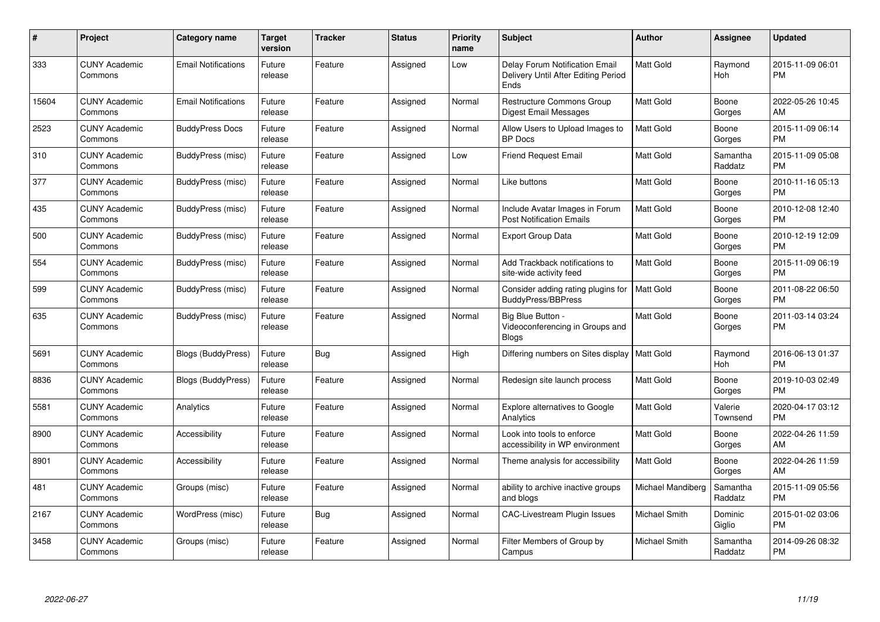| #     | Project                         | <b>Category name</b>       | Target<br>version | <b>Tracker</b> | <b>Status</b> | <b>Priority</b><br>name | <b>Subject</b>                                                                | <b>Author</b>     | <b>Assignee</b>     | <b>Updated</b>                |
|-------|---------------------------------|----------------------------|-------------------|----------------|---------------|-------------------------|-------------------------------------------------------------------------------|-------------------|---------------------|-------------------------------|
| 333   | <b>CUNY Academic</b><br>Commons | <b>Email Notifications</b> | Future<br>release | Feature        | Assigned      | Low                     | Delay Forum Notification Email<br>Delivery Until After Editing Period<br>Ends | <b>Matt Gold</b>  | Raymond<br>Hoh      | 2015-11-09 06:01<br><b>PM</b> |
| 15604 | <b>CUNY Academic</b><br>Commons | <b>Email Notifications</b> | Future<br>release | Feature        | Assigned      | Normal                  | <b>Restructure Commons Group</b><br>Digest Email Messages                     | <b>Matt Gold</b>  | Boone<br>Gorges     | 2022-05-26 10:45<br>AM        |
| 2523  | <b>CUNY Academic</b><br>Commons | <b>BuddyPress Docs</b>     | Future<br>release | Feature        | Assigned      | Normal                  | Allow Users to Upload Images to<br><b>BP</b> Docs                             | <b>Matt Gold</b>  | Boone<br>Gorges     | 2015-11-09 06:14<br><b>PM</b> |
| 310   | <b>CUNY Academic</b><br>Commons | BuddyPress (misc)          | Future<br>release | Feature        | Assigned      | Low                     | <b>Friend Request Email</b>                                                   | <b>Matt Gold</b>  | Samantha<br>Raddatz | 2015-11-09 05:08<br><b>PM</b> |
| 377   | <b>CUNY Academic</b><br>Commons | <b>BuddyPress</b> (misc)   | Future<br>release | Feature        | Assigned      | Normal                  | Like buttons                                                                  | <b>Matt Gold</b>  | Boone<br>Gorges     | 2010-11-16 05:13<br><b>PM</b> |
| 435   | <b>CUNY Academic</b><br>Commons | BuddyPress (misc)          | Future<br>release | Feature        | Assigned      | Normal                  | Include Avatar Images in Forum<br><b>Post Notification Emails</b>             | <b>Matt Gold</b>  | Boone<br>Gorges     | 2010-12-08 12:40<br><b>PM</b> |
| 500   | <b>CUNY Academic</b><br>Commons | BuddyPress (misc)          | Future<br>release | Feature        | Assigned      | Normal                  | <b>Export Group Data</b>                                                      | Matt Gold         | Boone<br>Gorges     | 2010-12-19 12:09<br><b>PM</b> |
| 554   | <b>CUNY Academic</b><br>Commons | BuddyPress (misc)          | Future<br>release | Feature        | Assigned      | Normal                  | Add Trackback notifications to<br>site-wide activity feed                     | <b>Matt Gold</b>  | Boone<br>Gorges     | 2015-11-09 06:19<br><b>PM</b> |
| 599   | <b>CUNY Academic</b><br>Commons | BuddyPress (misc)          | Future<br>release | Feature        | Assigned      | Normal                  | Consider adding rating plugins for<br><b>BuddyPress/BBPress</b>               | <b>Matt Gold</b>  | Boone<br>Gorges     | 2011-08-22 06:50<br><b>PM</b> |
| 635   | <b>CUNY Academic</b><br>Commons | BuddyPress (misc)          | Future<br>release | Feature        | Assigned      | Normal                  | Big Blue Button -<br>Videoconferencing in Groups and<br>Blogs                 | <b>Matt Gold</b>  | Boone<br>Gorges     | 2011-03-14 03:24<br>PM        |
| 5691  | <b>CUNY Academic</b><br>Commons | <b>Blogs (BuddyPress)</b>  | Future<br>release | Bug            | Assigned      | High                    | Differing numbers on Sites display   Matt Gold                                |                   | Raymond<br>Hoh      | 2016-06-13 01:37<br><b>PM</b> |
| 8836  | <b>CUNY Academic</b><br>Commons | <b>Blogs (BuddyPress)</b>  | Future<br>release | Feature        | Assigned      | Normal                  | Redesign site launch process                                                  | <b>Matt Gold</b>  | Boone<br>Gorges     | 2019-10-03 02:49<br><b>PM</b> |
| 5581  | <b>CUNY Academic</b><br>Commons | Analytics                  | Future<br>release | Feature        | Assigned      | Normal                  | Explore alternatives to Google<br>Analytics                                   | <b>Matt Gold</b>  | Valerie<br>Townsend | 2020-04-17 03:12<br><b>PM</b> |
| 8900  | <b>CUNY Academic</b><br>Commons | Accessibility              | Future<br>release | Feature        | Assigned      | Normal                  | Look into tools to enforce<br>accessibility in WP environment                 | <b>Matt Gold</b>  | Boone<br>Gorges     | 2022-04-26 11:59<br>AM        |
| 8901  | <b>CUNY Academic</b><br>Commons | Accessibility              | Future<br>release | Feature        | Assigned      | Normal                  | Theme analysis for accessibility                                              | <b>Matt Gold</b>  | Boone<br>Gorges     | 2022-04-26 11:59<br>AM        |
| 481   | <b>CUNY Academic</b><br>Commons | Groups (misc)              | Future<br>release | Feature        | Assigned      | Normal                  | ability to archive inactive groups<br>and blogs                               | Michael Mandiberg | Samantha<br>Raddatz | 2015-11-09 05:56<br><b>PM</b> |
| 2167  | <b>CUNY Academic</b><br>Commons | WordPress (misc)           | Future<br>release | <b>Bug</b>     | Assigned      | Normal                  | CAC-Livestream Plugin Issues                                                  | Michael Smith     | Dominic<br>Giglio   | 2015-01-02 03:06<br><b>PM</b> |
| 3458  | CUNY Academic<br>Commons        | Groups (misc)              | Future<br>release | Feature        | Assigned      | Normal                  | Filter Members of Group by<br>Campus                                          | Michael Smith     | Samantha<br>Raddatz | 2014-09-26 08:32<br><b>PM</b> |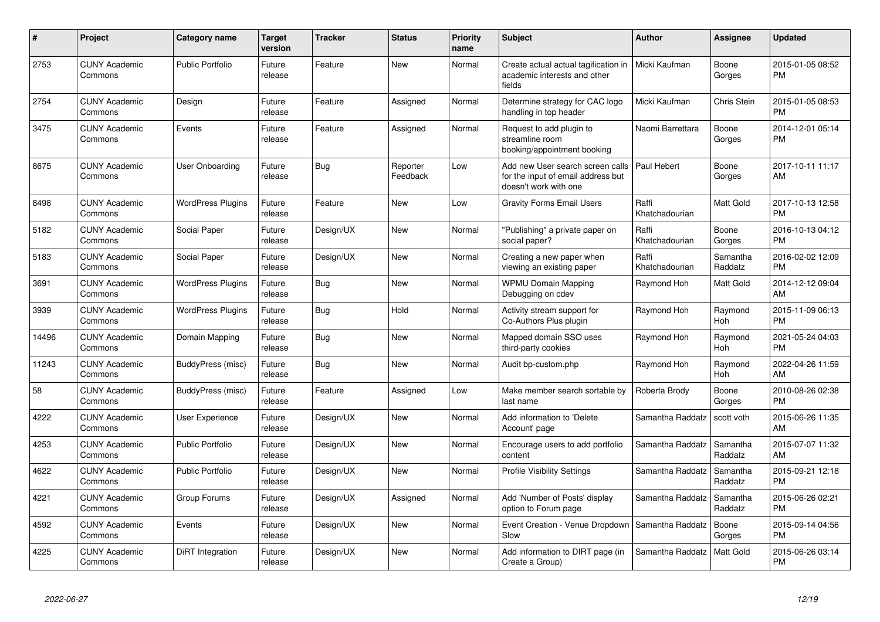| #     | Project                         | <b>Category name</b>     | Target<br>version | <b>Tracker</b> | <b>Status</b>        | <b>Priority</b><br>name | <b>Subject</b>                                                                                  | <b>Author</b>           | <b>Assignee</b>       | <b>Updated</b>                |
|-------|---------------------------------|--------------------------|-------------------|----------------|----------------------|-------------------------|-------------------------------------------------------------------------------------------------|-------------------------|-----------------------|-------------------------------|
| 2753  | <b>CUNY Academic</b><br>Commons | <b>Public Portfolio</b>  | Future<br>release | Feature        | <b>New</b>           | Normal                  | Create actual actual tagification in<br>academic interests and other<br>fields                  | Micki Kaufman           | Boone<br>Gorges       | 2015-01-05 08:52<br><b>PM</b> |
| 2754  | <b>CUNY Academic</b><br>Commons | Design                   | Future<br>release | Feature        | Assigned             | Normal                  | Determine strategy for CAC logo<br>handling in top header                                       | Micki Kaufman           | Chris Stein           | 2015-01-05 08:53<br><b>PM</b> |
| 3475  | <b>CUNY Academic</b><br>Commons | Events                   | Future<br>release | Feature        | Assigned             | Normal                  | Request to add plugin to<br>streamline room<br>booking/appointment booking                      | Naomi Barrettara        | Boone<br>Gorges       | 2014-12-01 05:14<br><b>PM</b> |
| 8675  | <b>CUNY Academic</b><br>Commons | <b>User Onboarding</b>   | Future<br>release | Bug            | Reporter<br>Feedback | Low                     | Add new User search screen calls<br>for the input of email address but<br>doesn't work with one | Paul Hebert             | Boone<br>Gorges       | 2017-10-11 11:17<br>AM        |
| 8498  | <b>CUNY Academic</b><br>Commons | <b>WordPress Plugins</b> | Future<br>release | Feature        | New                  | Low                     | <b>Gravity Forms Email Users</b>                                                                | Raffi<br>Khatchadourian | Matt Gold             | 2017-10-13 12:58<br><b>PM</b> |
| 5182  | <b>CUNY Academic</b><br>Commons | Social Paper             | Future<br>release | Design/UX      | New                  | Normal                  | "Publishing" a private paper on<br>social paper?                                                | Raffi<br>Khatchadourian | Boone<br>Gorges       | 2016-10-13 04:12<br><b>PM</b> |
| 5183  | <b>CUNY Academic</b><br>Commons | Social Paper             | Future<br>release | Design/UX      | <b>New</b>           | Normal                  | Creating a new paper when<br>viewing an existing paper                                          | Raffi<br>Khatchadourian | Samantha<br>Raddatz   | 2016-02-02 12:09<br><b>PM</b> |
| 3691  | <b>CUNY Academic</b><br>Commons | <b>WordPress Plugins</b> | Future<br>release | <b>Bug</b>     | <b>New</b>           | Normal                  | <b>WPMU Domain Mapping</b><br>Debugging on cdev                                                 | Raymond Hoh             | Matt Gold             | 2014-12-12 09:04<br>AM        |
| 3939  | <b>CUNY Academic</b><br>Commons | <b>WordPress Plugins</b> | Future<br>release | <b>Bug</b>     | Hold                 | Normal                  | Activity stream support for<br>Co-Authors Plus plugin                                           | Raymond Hoh             | Raymond<br><b>Hoh</b> | 2015-11-09 06:13<br><b>PM</b> |
| 14496 | <b>CUNY Academic</b><br>Commons | Domain Mapping           | Future<br>release | <b>Bug</b>     | <b>New</b>           | Normal                  | Mapped domain SSO uses<br>third-party cookies                                                   | Raymond Hoh             | Raymond<br>Hoh        | 2021-05-24 04:03<br><b>PM</b> |
| 11243 | <b>CUNY Academic</b><br>Commons | BuddyPress (misc)        | Future<br>release | <b>Bug</b>     | New                  | Normal                  | Audit bp-custom.php                                                                             | Raymond Hoh             | Raymond<br>Hoh        | 2022-04-26 11:59<br>AM        |
| 58    | <b>CUNY Academic</b><br>Commons | BuddyPress (misc)        | Future<br>release | Feature        | Assigned             | Low                     | Make member search sortable by<br>last name                                                     | Roberta Brody           | Boone<br>Gorges       | 2010-08-26 02:38<br><b>PM</b> |
| 4222  | <b>CUNY Academic</b><br>Commons | <b>User Experience</b>   | Future<br>release | Design/UX      | New                  | Normal                  | Add information to 'Delete<br>Account' page                                                     | Samantha Raddatz        | scott voth            | 2015-06-26 11:35<br>AM        |
| 4253  | <b>CUNY Academic</b><br>Commons | <b>Public Portfolio</b>  | Future<br>release | Design/UX      | <b>New</b>           | Normal                  | Encourage users to add portfolio<br>content                                                     | Samantha Raddatz        | Samantha<br>Raddatz   | 2015-07-07 11:32<br>AM        |
| 4622  | <b>CUNY Academic</b><br>Commons | <b>Public Portfolio</b>  | Future<br>release | Design/UX      | <b>New</b>           | Normal                  | <b>Profile Visibility Settings</b>                                                              | Samantha Raddatz        | Samantha<br>Raddatz   | 2015-09-21 12:18<br><b>PM</b> |
| 4221  | <b>CUNY Academic</b><br>Commons | Group Forums             | Future<br>release | Design/UX      | Assigned             | Normal                  | Add 'Number of Posts' display<br>option to Forum page                                           | Samantha Raddatz        | Samantha<br>Raddatz   | 2015-06-26 02:21<br><b>PM</b> |
| 4592  | <b>CUNY Academic</b><br>Commons | Events                   | Future<br>release | Design/UX      | <b>New</b>           | Normal                  | Event Creation - Venue Dropdown<br>Slow                                                         | Samantha Raddatz        | Boone<br>Gorges       | 2015-09-14 04:56<br><b>PM</b> |
| 4225  | <b>CUNY Academic</b><br>Commons | DiRT Integration         | Future<br>release | Design/UX      | <b>New</b>           | Normal                  | Add information to DIRT page (in<br>Create a Group)                                             | Samantha Raddatz        | <b>Matt Gold</b>      | 2015-06-26 03:14<br><b>PM</b> |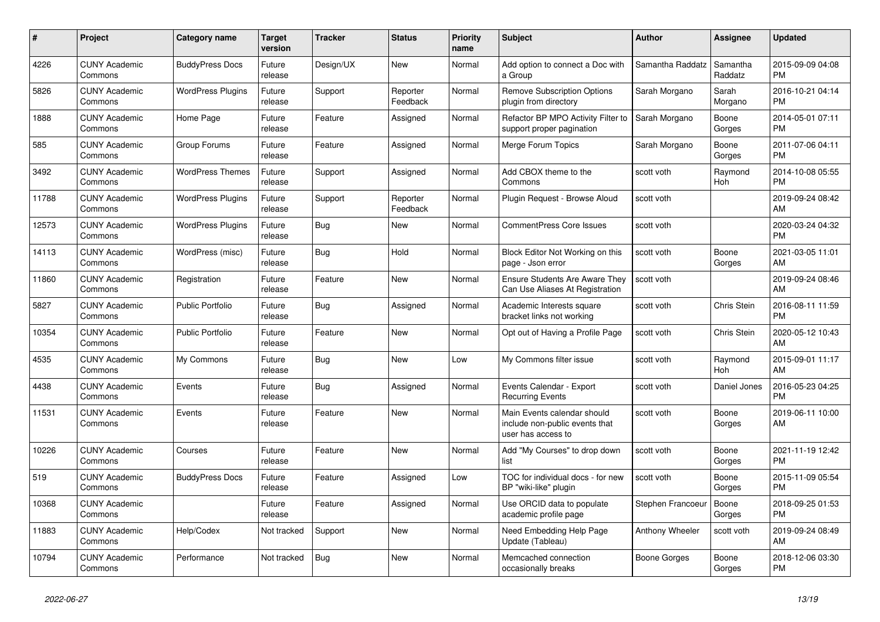| #     | <b>Project</b>                  | <b>Category name</b>     | <b>Target</b><br>version | <b>Tracker</b> | <b>Status</b>        | <b>Priority</b><br>name | <b>Subject</b>                                                                      | <b>Author</b>     | Assignee            | <b>Updated</b>                |
|-------|---------------------------------|--------------------------|--------------------------|----------------|----------------------|-------------------------|-------------------------------------------------------------------------------------|-------------------|---------------------|-------------------------------|
| 4226  | <b>CUNY Academic</b><br>Commons | <b>BuddyPress Docs</b>   | Future<br>release        | Design/UX      | <b>New</b>           | Normal                  | Add option to connect a Doc with<br>a Group                                         | Samantha Raddatz  | Samantha<br>Raddatz | 2015-09-09 04:08<br><b>PM</b> |
| 5826  | <b>CUNY Academic</b><br>Commons | <b>WordPress Plugins</b> | Future<br>release        | Support        | Reporter<br>Feedback | Normal                  | <b>Remove Subscription Options</b><br>plugin from directory                         | Sarah Morgano     | Sarah<br>Morgano    | 2016-10-21 04:14<br><b>PM</b> |
| 1888  | <b>CUNY Academic</b><br>Commons | Home Page                | Future<br>release        | Feature        | Assigned             | Normal                  | Refactor BP MPO Activity Filter to<br>support proper pagination                     | Sarah Morgano     | Boone<br>Gorges     | 2014-05-01 07:11<br><b>PM</b> |
| 585   | <b>CUNY Academic</b><br>Commons | Group Forums             | Future<br>release        | Feature        | Assigned             | Normal                  | Merge Forum Topics                                                                  | Sarah Morgano     | Boone<br>Gorges     | 2011-07-06 04:11<br><b>PM</b> |
| 3492  | <b>CUNY Academic</b><br>Commons | <b>WordPress Themes</b>  | Future<br>release        | Support        | Assigned             | Normal                  | Add CBOX theme to the<br>Commons                                                    | scott voth        | Raymond<br>Hoh      | 2014-10-08 05:55<br><b>PM</b> |
| 11788 | <b>CUNY Academic</b><br>Commons | <b>WordPress Plugins</b> | Future<br>release        | Support        | Reporter<br>Feedback | Normal                  | Plugin Request - Browse Aloud                                                       | scott voth        |                     | 2019-09-24 08:42<br>AM        |
| 12573 | <b>CUNY Academic</b><br>Commons | <b>WordPress Plugins</b> | Future<br>release        | Bug            | <b>New</b>           | Normal                  | <b>CommentPress Core Issues</b>                                                     | scott voth        |                     | 2020-03-24 04:32<br><b>PM</b> |
| 14113 | <b>CUNY Academic</b><br>Commons | WordPress (misc)         | Future<br>release        | Bug            | Hold                 | Normal                  | Block Editor Not Working on this<br>page - Json error                               | scott voth        | Boone<br>Gorges     | 2021-03-05 11:01<br>AM        |
| 11860 | <b>CUNY Academic</b><br>Commons | Registration             | Future<br>release        | Feature        | New                  | Normal                  | <b>Ensure Students Are Aware They</b><br>Can Use Aliases At Registration            | scott voth        |                     | 2019-09-24 08:46<br>AM        |
| 5827  | <b>CUNY Academic</b><br>Commons | <b>Public Portfolio</b>  | Future<br>release        | Bug            | Assigned             | Normal                  | Academic Interests square<br>bracket links not working                              | scott voth        | Chris Stein         | 2016-08-11 11:59<br><b>PM</b> |
| 10354 | <b>CUNY Academic</b><br>Commons | <b>Public Portfolio</b>  | Future<br>release        | Feature        | <b>New</b>           | Normal                  | Opt out of Having a Profile Page                                                    | scott voth        | Chris Stein         | 2020-05-12 10:43<br>AM        |
| 4535  | <b>CUNY Academic</b><br>Commons | My Commons               | Future<br>release        | <b>Bug</b>     | <b>New</b>           | Low                     | My Commons filter issue                                                             | scott voth        | Raymond<br>Hoh      | 2015-09-01 11:17<br>AM        |
| 4438  | <b>CUNY Academic</b><br>Commons | Events                   | Future<br>release        | <b>Bug</b>     | Assigned             | Normal                  | Events Calendar - Export<br><b>Recurring Events</b>                                 | scott voth        | Daniel Jones        | 2016-05-23 04:25<br><b>PM</b> |
| 11531 | <b>CUNY Academic</b><br>Commons | Events                   | Future<br>release        | Feature        | <b>New</b>           | Normal                  | Main Events calendar should<br>include non-public events that<br>user has access to | scott voth        | Boone<br>Gorges     | 2019-06-11 10:00<br>AM        |
| 10226 | <b>CUNY Academic</b><br>Commons | Courses                  | Future<br>release        | Feature        | <b>New</b>           | Normal                  | Add "My Courses" to drop down<br>list                                               | scott voth        | Boone<br>Gorges     | 2021-11-19 12:42<br><b>PM</b> |
| 519   | <b>CUNY Academic</b><br>Commons | <b>BuddyPress Docs</b>   | Future<br>release        | Feature        | Assigned             | Low                     | TOC for individual docs - for new<br>BP "wiki-like" plugin                          | scott voth        | Boone<br>Gorges     | 2015-11-09 05:54<br><b>PM</b> |
| 10368 | <b>CUNY Academic</b><br>Commons |                          | Future<br>release        | Feature        | Assigned             | Normal                  | Use ORCID data to populate<br>academic profile page                                 | Stephen Francoeur | Boone<br>Gorges     | 2018-09-25 01:53<br><b>PM</b> |
| 11883 | <b>CUNY Academic</b><br>Commons | Help/Codex               | Not tracked              | Support        | <b>New</b>           | Normal                  | Need Embedding Help Page<br>Update (Tableau)                                        | Anthony Wheeler   | scott voth          | 2019-09-24 08:49<br>AM        |
| 10794 | <b>CUNY Academic</b><br>Commons | Performance              | Not tracked              | <b>Bug</b>     | <b>New</b>           | Normal                  | Memcached connection<br>occasionally breaks                                         | Boone Gorges      | Boone<br>Gorges     | 2018-12-06 03:30<br><b>PM</b> |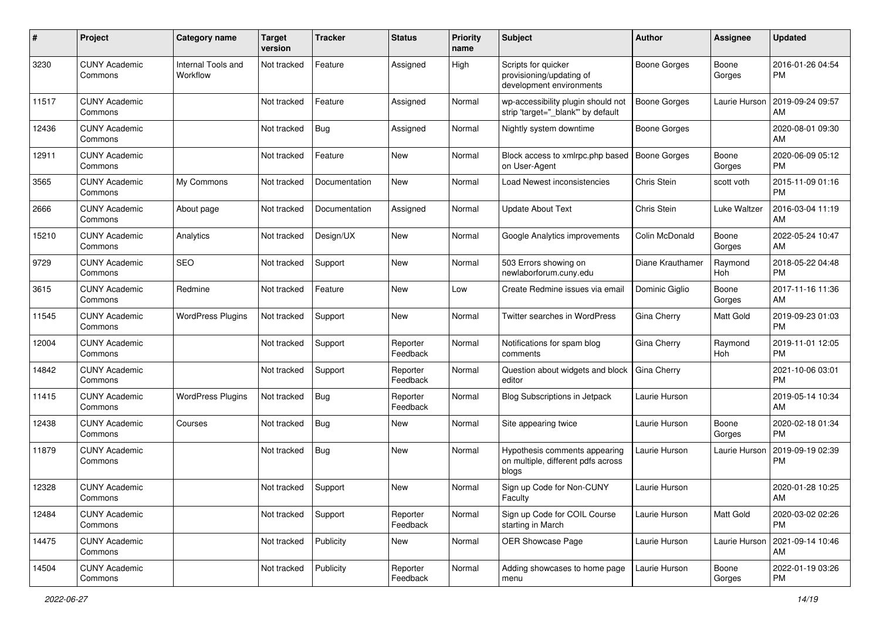| #     | Project                         | <b>Category name</b>           | <b>Target</b><br>version | <b>Tracker</b> | <b>Status</b>        | <b>Priority</b><br>name | <b>Subject</b>                                                               | Author              | Assignee         | <b>Updated</b>                |
|-------|---------------------------------|--------------------------------|--------------------------|----------------|----------------------|-------------------------|------------------------------------------------------------------------------|---------------------|------------------|-------------------------------|
| 3230  | <b>CUNY Academic</b><br>Commons | Internal Tools and<br>Workflow | Not tracked              | Feature        | Assigned             | High                    | Scripts for quicker<br>provisioning/updating of<br>development environments  | <b>Boone Gorges</b> | Boone<br>Gorges  | 2016-01-26 04:54<br>PM        |
| 11517 | <b>CUNY Academic</b><br>Commons |                                | Not tracked              | Feature        | Assigned             | Normal                  | wp-accessibility plugin should not<br>strip 'target="_blank" by default      | <b>Boone Gorges</b> | Laurie Hurson    | 2019-09-24 09:57<br>AM        |
| 12436 | <b>CUNY Academic</b><br>Commons |                                | Not tracked              | <b>Bug</b>     | Assigned             | Normal                  | Nightly system downtime                                                      | <b>Boone Gorges</b> |                  | 2020-08-01 09:30<br>AM        |
| 12911 | <b>CUNY Academic</b><br>Commons |                                | Not tracked              | Feature        | New                  | Normal                  | Block access to xmlrpc.php based<br>on User-Agent                            | <b>Boone Gorges</b> | Boone<br>Gorges  | 2020-06-09 05:12<br><b>PM</b> |
| 3565  | <b>CUNY Academic</b><br>Commons | My Commons                     | Not tracked              | Documentation  | <b>New</b>           | Normal                  | Load Newest inconsistencies                                                  | Chris Stein         | scott voth       | 2015-11-09 01:16<br>PM        |
| 2666  | <b>CUNY Academic</b><br>Commons | About page                     | Not tracked              | Documentation  | Assigned             | Normal                  | <b>Update About Text</b>                                                     | Chris Stein         | Luke Waltzer     | 2016-03-04 11:19<br>AM        |
| 15210 | <b>CUNY Academic</b><br>Commons | Analytics                      | Not tracked              | Design/UX      | New                  | Normal                  | Google Analytics improvements                                                | Colin McDonald      | Boone<br>Gorges  | 2022-05-24 10:47<br>AM        |
| 9729  | <b>CUNY Academic</b><br>Commons | <b>SEO</b>                     | Not tracked              | Support        | New                  | Normal                  | 503 Errors showing on<br>newlaborforum.cuny.edu                              | Diane Krauthamer    | Raymond<br>Hoh   | 2018-05-22 04:48<br><b>PM</b> |
| 3615  | <b>CUNY Academic</b><br>Commons | Redmine                        | Not tracked              | Feature        | <b>New</b>           | Low                     | Create Redmine issues via emai                                               | Dominic Giglio      | Boone<br>Gorges  | 2017-11-16 11:36<br>AM        |
| 11545 | <b>CUNY Academic</b><br>Commons | <b>WordPress Plugins</b>       | Not tracked              | Support        | New                  | Normal                  | Twitter searches in WordPress                                                | Gina Cherry         | Matt Gold        | 2019-09-23 01:03<br><b>PM</b> |
| 12004 | <b>CUNY Academic</b><br>Commons |                                | Not tracked              | Support        | Reporter<br>Feedback | Normal                  | Notifications for spam blog<br>comments                                      | Gina Cherry         | Raymond<br>Hoh   | 2019-11-01 12:05<br><b>PM</b> |
| 14842 | <b>CUNY Academic</b><br>Commons |                                | Not tracked              | Support        | Reporter<br>Feedback | Normal                  | Question about widgets and block<br>editor                                   | Gina Cherry         |                  | 2021-10-06 03:01<br>PM        |
| 11415 | <b>CUNY Academic</b><br>Commons | <b>WordPress Plugins</b>       | Not tracked              | <b>Bug</b>     | Reporter<br>Feedback | Normal                  | <b>Blog Subscriptions in Jetpack</b>                                         | Laurie Hurson       |                  | 2019-05-14 10:34<br>AM        |
| 12438 | <b>CUNY Academic</b><br>Commons | Courses                        | Not tracked              | <b>Bug</b>     | New                  | Normal                  | Site appearing twice                                                         | Laurie Hurson       | Boone<br>Gorges  | 2020-02-18 01:34<br><b>PM</b> |
| 11879 | <b>CUNY Academic</b><br>Commons |                                | Not tracked              | Bug            | New                  | Normal                  | Hypothesis comments appearing<br>on multiple, different pdfs across<br>blogs | Laurie Hurson       | Laurie Hurson    | 2019-09-19 02:39<br><b>PM</b> |
| 12328 | <b>CUNY Academic</b><br>Commons |                                | Not tracked              | Support        | New                  | Normal                  | Sign up Code for Non-CUNY<br>Faculty                                         | Laurie Hurson       |                  | 2020-01-28 10:25<br>AM        |
| 12484 | <b>CUNY Academic</b><br>Commons |                                | Not tracked              | Support        | Reporter<br>Feedback | Normal                  | Sign up Code for COIL Course<br>starting in March                            | Laurie Hurson       | <b>Matt Gold</b> | 2020-03-02 02:26<br>PM        |
| 14475 | <b>CUNY Academic</b><br>Commons |                                | Not tracked              | Publicity      | New                  | Normal                  | OER Showcase Page                                                            | Laurie Hurson       | Laurie Hurson    | 2021-09-14 10:46<br>AM        |
| 14504 | <b>CUNY Academic</b><br>Commons |                                | Not tracked              | Publicity      | Reporter<br>Feedback | Normal                  | Adding showcases to home page<br>menu                                        | Laurie Hurson       | Boone<br>Gorges  | 2022-01-19 03:26<br>PM        |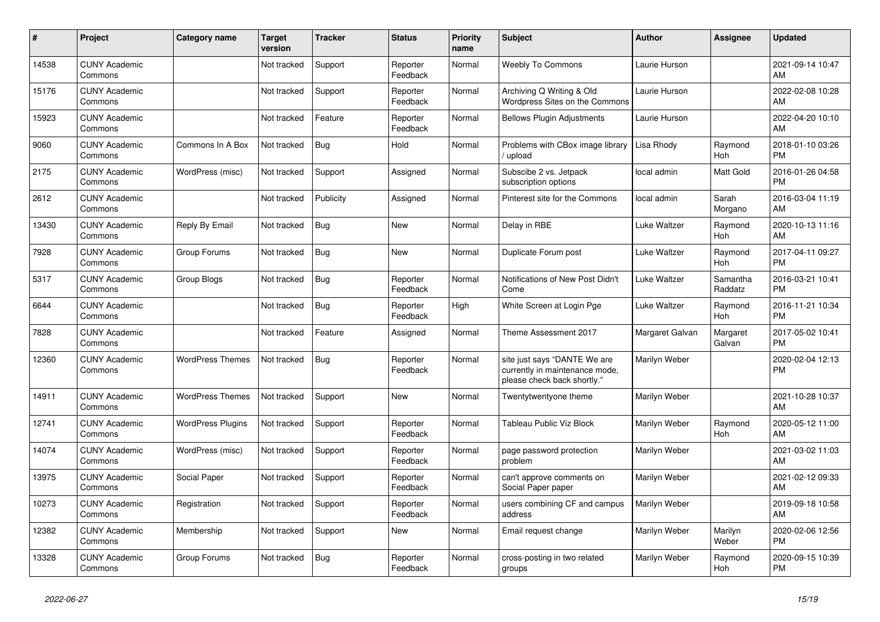| #     | Project                         | <b>Category name</b>     | Target<br>version | <b>Tracker</b> | <b>Status</b>        | <b>Priority</b><br>name | <b>Subject</b>                                                                                | <b>Author</b>   | <b>Assignee</b>     | <b>Updated</b>                |
|-------|---------------------------------|--------------------------|-------------------|----------------|----------------------|-------------------------|-----------------------------------------------------------------------------------------------|-----------------|---------------------|-------------------------------|
| 14538 | <b>CUNY Academic</b><br>Commons |                          | Not tracked       | Support        | Reporter<br>Feedback | Normal                  | <b>Weebly To Commons</b>                                                                      | Laurie Hurson   |                     | 2021-09-14 10:47<br>AM        |
| 15176 | <b>CUNY Academic</b><br>Commons |                          | Not tracked       | Support        | Reporter<br>Feedback | Normal                  | Archiving Q Writing & Old<br>Wordpress Sites on the Commons                                   | Laurie Hurson   |                     | 2022-02-08 10:28<br>AM        |
| 15923 | <b>CUNY Academic</b><br>Commons |                          | Not tracked       | Feature        | Reporter<br>Feedback | Normal                  | <b>Bellows Plugin Adjustments</b>                                                             | Laurie Hurson   |                     | 2022-04-20 10:10<br>AM        |
| 9060  | <b>CUNY Academic</b><br>Commons | Commons In A Box         | Not tracked       | <b>Bug</b>     | Hold                 | Normal                  | Problems with CBox image library<br>upload                                                    | Lisa Rhody      | Raymond<br>Hoh      | 2018-01-10 03:26<br><b>PM</b> |
| 2175  | <b>CUNY Academic</b><br>Commons | WordPress (misc)         | Not tracked       | Support        | Assigned             | Normal                  | Subscibe 2 vs. Jetpack<br>subscription options                                                | local admin     | Matt Gold           | 2016-01-26 04:58<br><b>PM</b> |
| 2612  | <b>CUNY Academic</b><br>Commons |                          | Not tracked       | Publicity      | Assigned             | Normal                  | Pinterest site for the Commons                                                                | local admin     | Sarah<br>Morgano    | 2016-03-04 11:19<br>AM        |
| 13430 | <b>CUNY Academic</b><br>Commons | Reply By Email           | Not tracked       | Bug            | <b>New</b>           | Normal                  | Delay in RBE                                                                                  | Luke Waltzer    | Raymond<br>Hoh      | 2020-10-13 11:16<br>AM        |
| 7928  | <b>CUNY Academic</b><br>Commons | Group Forums             | Not tracked       | <b>Bug</b>     | <b>New</b>           | Normal                  | Duplicate Forum post                                                                          | Luke Waltzer    | Raymond<br>Hoh      | 2017-04-11 09:27<br><b>PM</b> |
| 5317  | <b>CUNY Academic</b><br>Commons | Group Blogs              | Not tracked       | <b>Bug</b>     | Reporter<br>Feedback | Normal                  | Notifications of New Post Didn't<br>Come                                                      | Luke Waltzer    | Samantha<br>Raddatz | 2016-03-21 10:41<br><b>PM</b> |
| 6644  | <b>CUNY Academic</b><br>Commons |                          | Not tracked       | <b>Bug</b>     | Reporter<br>Feedback | High                    | White Screen at Login Pge                                                                     | Luke Waltzer    | Raymond<br>Hoh      | 2016-11-21 10:34<br><b>PM</b> |
| 7828  | <b>CUNY Academic</b><br>Commons |                          | Not tracked       | Feature        | Assigned             | Normal                  | Theme Assessment 2017                                                                         | Margaret Galvan | Margaret<br>Galvan  | 2017-05-02 10:41<br><b>PM</b> |
| 12360 | <b>CUNY Academic</b><br>Commons | <b>WordPress Themes</b>  | Not tracked       | <b>Bug</b>     | Reporter<br>Feedback | Normal                  | site just says "DANTE We are<br>currently in maintenance mode,<br>please check back shortly." | Marilyn Weber   |                     | 2020-02-04 12:13<br><b>PM</b> |
| 14911 | <b>CUNY Academic</b><br>Commons | <b>WordPress Themes</b>  | Not tracked       | Support        | <b>New</b>           | Normal                  | Twentytwentyone theme                                                                         | Marilyn Weber   |                     | 2021-10-28 10:37<br>AM        |
| 12741 | <b>CUNY Academic</b><br>Commons | <b>WordPress Plugins</b> | Not tracked       | Support        | Reporter<br>Feedback | Normal                  | Tableau Public Viz Block                                                                      | Marilyn Weber   | Raymond<br>Hoh      | 2020-05-12 11:00<br>AM        |
| 14074 | <b>CUNY Academic</b><br>Commons | WordPress (misc)         | Not tracked       | Support        | Reporter<br>Feedback | Normal                  | page password protection<br>problem                                                           | Marilyn Weber   |                     | 2021-03-02 11:03<br>AM        |
| 13975 | <b>CUNY Academic</b><br>Commons | Social Paper             | Not tracked       | Support        | Reporter<br>Feedback | Normal                  | can't approve comments on<br>Social Paper paper                                               | Marilyn Weber   |                     | 2021-02-12 09:33<br>AM        |
| 10273 | <b>CUNY Academic</b><br>Commons | Registration             | Not tracked       | Support        | Reporter<br>Feedback | Normal                  | users combining CF and campus<br>address                                                      | Marilyn Weber   |                     | 2019-09-18 10:58<br>AM        |
| 12382 | <b>CUNY Academic</b><br>Commons | Membership               | Not tracked       | Support        | New                  | Normal                  | Email request change                                                                          | Marilyn Weber   | Marilyn<br>Weber    | 2020-02-06 12:56<br><b>PM</b> |
| 13328 | <b>CUNY Academic</b><br>Commons | Group Forums             | Not tracked       | <b>Bug</b>     | Reporter<br>Feedback | Normal                  | cross-posting in two related<br>groups                                                        | Marilyn Weber   | Raymond<br>Hoh      | 2020-09-15 10:39<br><b>PM</b> |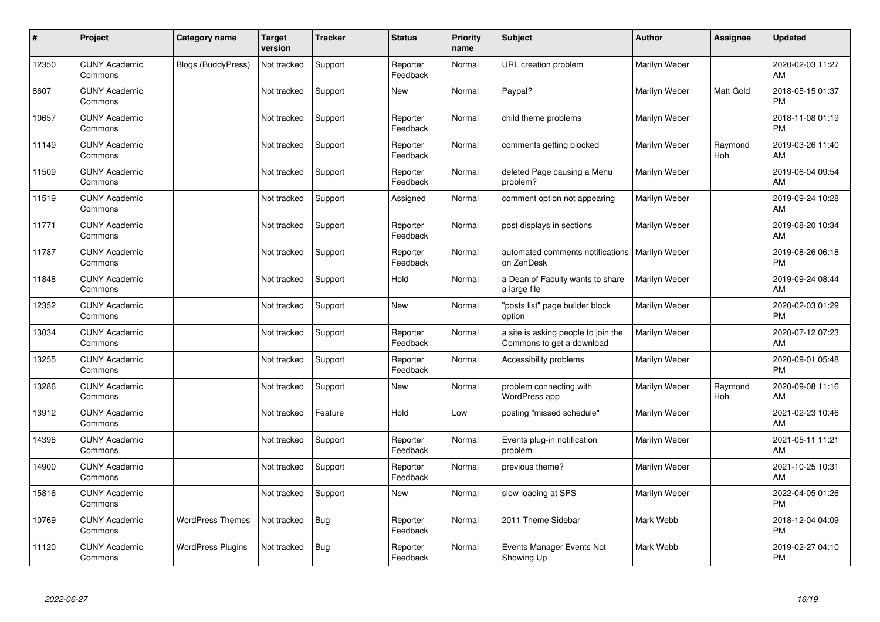| #     | Project                         | Category name             | <b>Target</b><br>version | <b>Tracker</b> | <b>Status</b>        | <b>Priority</b><br>name | <b>Subject</b>                                                   | <b>Author</b> | <b>Assignee</b> | <b>Updated</b>                |
|-------|---------------------------------|---------------------------|--------------------------|----------------|----------------------|-------------------------|------------------------------------------------------------------|---------------|-----------------|-------------------------------|
| 12350 | <b>CUNY Academic</b><br>Commons | <b>Blogs (BuddyPress)</b> | Not tracked              | Support        | Reporter<br>Feedback | Normal                  | URL creation problem                                             | Marilyn Weber |                 | 2020-02-03 11:27<br>AM        |
| 8607  | <b>CUNY Academic</b><br>Commons |                           | Not tracked              | Support        | <b>New</b>           | Normal                  | Paypal?                                                          | Marilyn Weber | Matt Gold       | 2018-05-15 01:37<br><b>PM</b> |
| 10657 | <b>CUNY Academic</b><br>Commons |                           | Not tracked              | Support        | Reporter<br>Feedback | Normal                  | child theme problems                                             | Marilyn Weber |                 | 2018-11-08 01:19<br><b>PM</b> |
| 11149 | <b>CUNY Academic</b><br>Commons |                           | Not tracked              | Support        | Reporter<br>Feedback | Normal                  | comments getting blocked                                         | Marilyn Weber | Raymond<br>Hoh  | 2019-03-26 11:40<br>AM        |
| 11509 | <b>CUNY Academic</b><br>Commons |                           | Not tracked              | Support        | Reporter<br>Feedback | Normal                  | deleted Page causing a Menu<br>problem?                          | Marilyn Weber |                 | 2019-06-04 09:54<br>AM        |
| 11519 | <b>CUNY Academic</b><br>Commons |                           | Not tracked              | Support        | Assigned             | Normal                  | comment option not appearing                                     | Marilyn Weber |                 | 2019-09-24 10:28<br>AM        |
| 11771 | <b>CUNY Academic</b><br>Commons |                           | Not tracked              | Support        | Reporter<br>Feedback | Normal                  | post displays in sections                                        | Marilyn Weber |                 | 2019-08-20 10:34<br>AM        |
| 11787 | <b>CUNY Academic</b><br>Commons |                           | Not tracked              | Support        | Reporter<br>Feedback | Normal                  | automated comments notifications<br>on ZenDesk                   | Marilyn Weber |                 | 2019-08-26 06:18<br><b>PM</b> |
| 11848 | <b>CUNY Academic</b><br>Commons |                           | Not tracked              | Support        | Hold                 | Normal                  | a Dean of Faculty wants to share<br>a large file                 | Marilyn Weber |                 | 2019-09-24 08:44<br>AM        |
| 12352 | <b>CUNY Academic</b><br>Commons |                           | Not tracked              | Support        | <b>New</b>           | Normal                  | 'posts list" page builder block<br>option                        | Marilyn Weber |                 | 2020-02-03 01:29<br><b>PM</b> |
| 13034 | <b>CUNY Academic</b><br>Commons |                           | Not tracked              | Support        | Reporter<br>Feedback | Normal                  | a site is asking people to join the<br>Commons to get a download | Marilyn Weber |                 | 2020-07-12 07:23<br>AM        |
| 13255 | <b>CUNY Academic</b><br>Commons |                           | Not tracked              | Support        | Reporter<br>Feedback | Normal                  | Accessibility problems                                           | Marilyn Weber |                 | 2020-09-01 05:48<br><b>PM</b> |
| 13286 | <b>CUNY Academic</b><br>Commons |                           | Not tracked              | Support        | New                  | Normal                  | problem connecting with<br>WordPress app                         | Marilyn Weber | Raymond<br>Hoh  | 2020-09-08 11:16<br>AM        |
| 13912 | <b>CUNY Academic</b><br>Commons |                           | Not tracked              | Feature        | Hold                 | Low                     | posting "missed schedule"                                        | Marilyn Weber |                 | 2021-02-23 10:46<br>AM        |
| 14398 | <b>CUNY Academic</b><br>Commons |                           | Not tracked              | Support        | Reporter<br>Feedback | Normal                  | Events plug-in notification<br>problem                           | Marilyn Weber |                 | 2021-05-11 11:21<br>AM        |
| 14900 | <b>CUNY Academic</b><br>Commons |                           | Not tracked              | Support        | Reporter<br>Feedback | Normal                  | previous theme?                                                  | Marilyn Weber |                 | 2021-10-25 10:31<br>AM        |
| 15816 | <b>CUNY Academic</b><br>Commons |                           | Not tracked              | Support        | New                  | Normal                  | slow loading at SPS                                              | Marilyn Weber |                 | 2022-04-05 01:26<br><b>PM</b> |
| 10769 | <b>CUNY Academic</b><br>Commons | <b>WordPress Themes</b>   | Not tracked              | <b>Bug</b>     | Reporter<br>Feedback | Normal                  | 2011 Theme Sidebar                                               | Mark Webb     |                 | 2018-12-04 04:09<br><b>PM</b> |
| 11120 | <b>CUNY Academic</b><br>Commons | <b>WordPress Plugins</b>  | Not tracked              | Bug            | Reporter<br>Feedback | Normal                  | Events Manager Events Not<br>Showing Up                          | Mark Webb     |                 | 2019-02-27 04:10<br><b>PM</b> |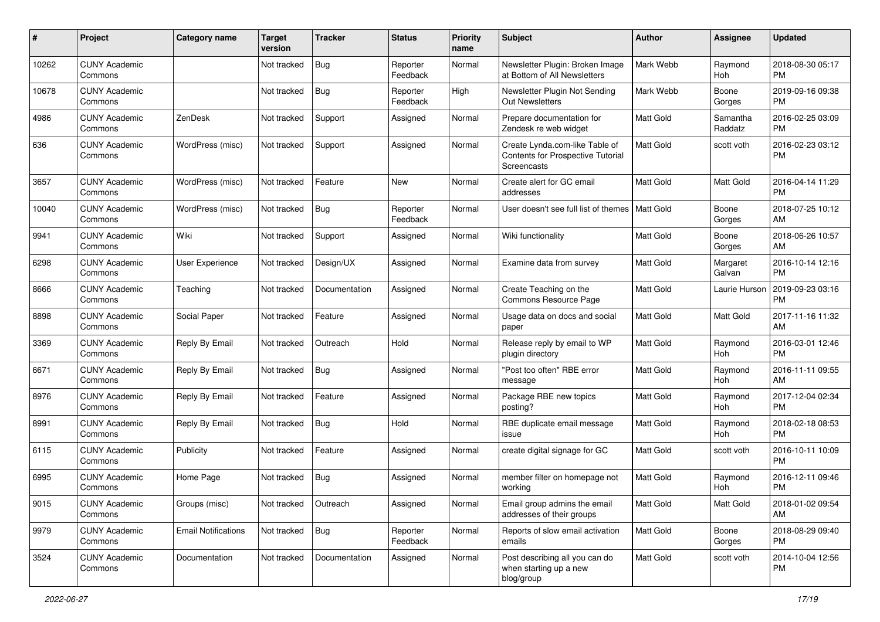| #     | Project                         | <b>Category name</b>       | <b>Target</b><br>version | Tracker       | <b>Status</b>        | <b>Priority</b><br>name | <b>Subject</b>                                                                     | Author           | <b>Assignee</b>       | <b>Updated</b>                |
|-------|---------------------------------|----------------------------|--------------------------|---------------|----------------------|-------------------------|------------------------------------------------------------------------------------|------------------|-----------------------|-------------------------------|
| 10262 | <b>CUNY Academic</b><br>Commons |                            | Not tracked              | <b>Bug</b>    | Reporter<br>Feedback | Normal                  | Newsletter Plugin: Broken Image<br>at Bottom of All Newsletters                    | Mark Webb        | Raymond<br>Hoh        | 2018-08-30 05:17<br><b>PM</b> |
| 10678 | <b>CUNY Academic</b><br>Commons |                            | Not tracked              | Bug           | Reporter<br>Feedback | High                    | Newsletter Plugin Not Sending<br><b>Out Newsletters</b>                            | Mark Webb        | Boone<br>Gorges       | 2019-09-16 09:38<br>PМ        |
| 4986  | <b>CUNY Academic</b><br>Commons | ZenDesk                    | Not tracked              | Support       | Assigned             | Normal                  | Prepare documentation for<br>Zendesk re web widget                                 | Matt Gold        | Samantha<br>Raddatz   | 2016-02-25 03:09<br>РM        |
| 636   | <b>CUNY Academic</b><br>Commons | WordPress (misc)           | Not tracked              | Support       | Assigned             | Normal                  | Create Lynda.com-like Table of<br>Contents for Prospective Tutorial<br>Screencasts | <b>Matt Gold</b> | scott voth            | 2016-02-23 03:12<br><b>PM</b> |
| 3657  | <b>CUNY Academic</b><br>Commons | WordPress (misc)           | Not tracked              | Feature       | New                  | Normal                  | Create alert for GC email<br>addresses                                             | Matt Gold        | Matt Gold             | 2016-04-14 11:29<br><b>PM</b> |
| 10040 | <b>CUNY Academic</b><br>Commons | WordPress (misc)           | Not tracked              | Bug           | Reporter<br>Feedback | Normal                  | User doesn't see full list of themes   Matt Gold                                   |                  | Boone<br>Gorges       | 2018-07-25 10:12<br>AM        |
| 9941  | <b>CUNY Academic</b><br>Commons | Wiki                       | Not tracked              | Support       | Assigned             | Normal                  | Wiki functionality                                                                 | <b>Matt Gold</b> | Boone<br>Gorges       | 2018-06-26 10:57<br>AM        |
| 6298  | <b>CUNY Academic</b><br>Commons | User Experience            | Not tracked              | Design/UX     | Assigned             | Normal                  | Examine data from survey                                                           | Matt Gold        | Margaret<br>Galvan    | 2016-10-14 12:16<br>РM        |
| 8666  | <b>CUNY Academic</b><br>Commons | Teaching                   | Not tracked              | Documentation | Assigned             | Normal                  | Create Teaching on the<br><b>Commons Resource Page</b>                             | Matt Gold        | Laurie Hurson         | 2019-09-23 03:16<br>РM        |
| 8898  | <b>CUNY Academic</b><br>Commons | Social Paper               | Not tracked              | Feature       | Assigned             | Normal                  | Usage data on docs and social<br>paper                                             | Matt Gold        | <b>Matt Gold</b>      | 2017-11-16 11:32<br>AM        |
| 3369  | <b>CUNY Academic</b><br>Commons | Reply By Email             | Not tracked              | Outreach      | Hold                 | Normal                  | Release reply by email to WP<br>plugin directory                                   | Matt Gold        | Raymond<br>Hoh        | 2016-03-01 12:46<br>РM        |
| 6671  | <b>CUNY Academic</b><br>Commons | Reply By Email             | Not tracked              | Bug           | Assigned             | Normal                  | "Post too often" RBE error<br>message                                              | Matt Gold        | Raymond<br><b>Hoh</b> | 2016-11-11 09:55<br>AM        |
| 8976  | <b>CUNY Academic</b><br>Commons | Reply By Email             | Not tracked              | Feature       | Assigned             | Normal                  | Package RBE new topics<br>posting?                                                 | Matt Gold        | Raymond<br>Hoh        | 2017-12-04 02:34<br><b>PM</b> |
| 8991  | <b>CUNY Academic</b><br>Commons | Reply By Email             | Not tracked              | Bug           | Hold                 | Normal                  | RBE duplicate email message<br>issue                                               | Matt Gold        | Raymond<br>Hoh        | 2018-02-18 08:53<br>PM        |
| 6115  | <b>CUNY Academic</b><br>Commons | Publicity                  | Not tracked              | Feature       | Assigned             | Normal                  | create digital signage for GC                                                      | Matt Gold        | scott voth            | 2016-10-11 10:09<br>РM        |
| 6995  | <b>CUNY Academic</b><br>Commons | Home Page                  | Not tracked              | Bug           | Assigned             | Normal                  | member filter on homepage not<br>working                                           | Matt Gold        | Raymond<br>Hoh        | 2016-12-11 09:46<br><b>PM</b> |
| 9015  | <b>CUNY Academic</b><br>Commons | Groups (misc)              | Not tracked              | Outreach      | Assigned             | Normal                  | Email group admins the email<br>addresses of their groups                          | <b>Matt Gold</b> | Matt Gold             | 2018-01-02 09:54<br>AM        |
| 9979  | <b>CUNY Academic</b><br>Commons | <b>Email Notifications</b> | Not tracked              | <b>Bug</b>    | Reporter<br>Feedback | Normal                  | Reports of slow email activation<br>emails                                         | Matt Gold        | Boone<br>Gorges       | 2018-08-29 09:40<br><b>PM</b> |
| 3524  | <b>CUNY Academic</b><br>Commons | Documentation              | Not tracked              | Documentation | Assigned             | Normal                  | Post describing all you can do<br>when starting up a new<br>blog/group             | Matt Gold        | scott voth            | 2014-10-04 12:56<br>PM        |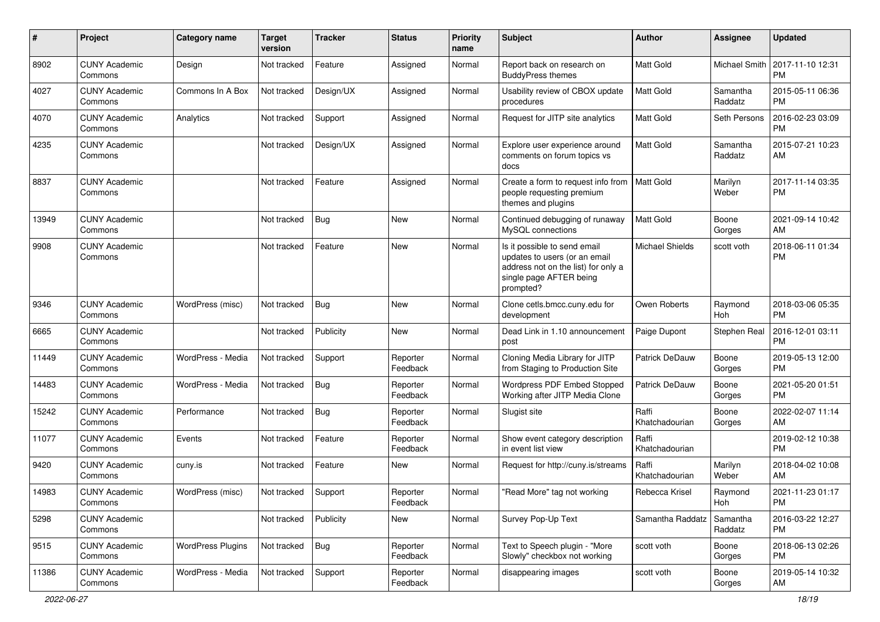| #     | Project                         | <b>Category name</b>     | <b>Target</b><br>version | <b>Tracker</b> | <b>Status</b>        | <b>Priority</b><br>name | <b>Subject</b>                                                                                                                               | Author                  | Assignee            | <b>Updated</b>                |
|-------|---------------------------------|--------------------------|--------------------------|----------------|----------------------|-------------------------|----------------------------------------------------------------------------------------------------------------------------------------------|-------------------------|---------------------|-------------------------------|
| 8902  | <b>CUNY Academic</b><br>Commons | Design                   | Not tracked              | Feature        | Assigned             | Normal                  | Report back on research on<br><b>BuddyPress themes</b>                                                                                       | <b>Matt Gold</b>        | Michael Smith       | 2017-11-10 12:31<br><b>PM</b> |
| 4027  | <b>CUNY Academic</b><br>Commons | Commons In A Box         | Not tracked              | Design/UX      | Assigned             | Normal                  | Usability review of CBOX update<br>procedures                                                                                                | <b>Matt Gold</b>        | Samantha<br>Raddatz | 2015-05-11 06:36<br><b>PM</b> |
| 4070  | <b>CUNY Academic</b><br>Commons | Analytics                | Not tracked              | Support        | Assigned             | Normal                  | Request for JITP site analytics                                                                                                              | <b>Matt Gold</b>        | Seth Persons        | 2016-02-23 03:09<br><b>PM</b> |
| 4235  | <b>CUNY Academic</b><br>Commons |                          | Not tracked              | Design/UX      | Assigned             | Normal                  | Explore user experience around<br>comments on forum topics vs<br>docs                                                                        | <b>Matt Gold</b>        | Samantha<br>Raddatz | 2015-07-21 10:23<br>AM        |
| 8837  | <b>CUNY Academic</b><br>Commons |                          | Not tracked              | Feature        | Assigned             | Normal                  | Create a form to request info from<br>people requesting premium<br>themes and plugins                                                        | Matt Gold               | Marilyn<br>Weber    | 2017-11-14 03:35<br><b>PM</b> |
| 13949 | <b>CUNY Academic</b><br>Commons |                          | Not tracked              | Bug            | New                  | Normal                  | Continued debugging of runaway<br>MySQL connections                                                                                          | Matt Gold               | Boone<br>Gorges     | 2021-09-14 10:42<br>AM        |
| 9908  | <b>CUNY Academic</b><br>Commons |                          | Not tracked              | Feature        | <b>New</b>           | Normal                  | Is it possible to send email<br>updates to users (or an email<br>address not on the list) for only a<br>single page AFTER being<br>prompted? | <b>Michael Shields</b>  | scott voth          | 2018-06-11 01:34<br><b>PM</b> |
| 9346  | <b>CUNY Academic</b><br>Commons | WordPress (misc)         | Not tracked              | <b>Bug</b>     | New                  | Normal                  | Clone cetls.bmcc.cuny.edu for<br>development                                                                                                 | Owen Roberts            | Raymond<br>Hoh      | 2018-03-06 05:35<br><b>PM</b> |
| 6665  | <b>CUNY Academic</b><br>Commons |                          | Not tracked              | Publicity      | <b>New</b>           | Normal                  | Dead Link in 1.10 announcement<br>post                                                                                                       | Paige Dupont            | Stephen Real        | 2016-12-01 03:11<br><b>PM</b> |
| 11449 | <b>CUNY Academic</b><br>Commons | WordPress - Media        | Not tracked              | Support        | Reporter<br>Feedback | Normal                  | Cloning Media Library for JITP<br>from Staging to Production Site                                                                            | <b>Patrick DeDauw</b>   | Boone<br>Gorges     | 2019-05-13 12:00<br><b>PM</b> |
| 14483 | <b>CUNY Academic</b><br>Commons | WordPress - Media        | Not tracked              | Bug            | Reporter<br>Feedback | Normal                  | Wordpress PDF Embed Stopped<br>Working after JITP Media Clone                                                                                | <b>Patrick DeDauw</b>   | Boone<br>Gorges     | 2021-05-20 01:51<br><b>PM</b> |
| 15242 | <b>CUNY Academic</b><br>Commons | Performance              | Not tracked              | Bug            | Reporter<br>Feedback | Normal                  | Slugist site                                                                                                                                 | Raffi<br>Khatchadourian | Boone<br>Gorges     | 2022-02-07 11:14<br>AM        |
| 11077 | <b>CUNY Academic</b><br>Commons | Events                   | Not tracked              | Feature        | Reporter<br>Feedback | Normal                  | Show event category description<br>in event list view                                                                                        | Raffi<br>Khatchadourian |                     | 2019-02-12 10:38<br><b>PM</b> |
| 9420  | <b>CUNY Academic</b><br>Commons | cuny.is                  | Not tracked              | Feature        | <b>New</b>           | Normal                  | Request for http://cuny.is/streams                                                                                                           | Raffi<br>Khatchadourian | Marilyn<br>Weber    | 2018-04-02 10:08<br>AM        |
| 14983 | <b>CUNY Academic</b><br>Commons | WordPress (misc)         | Not tracked              | Support        | Reporter<br>Feedback | Normal                  | "Read More" tag not working                                                                                                                  | Rebecca Krisel          | Raymond<br>Hoh      | 2021-11-23 01:17<br>PM        |
| 5298  | <b>CUNY Academic</b><br>Commons |                          | Not tracked              | Publicity      | New                  | Normal                  | Survey Pop-Up Text                                                                                                                           | Samantha Raddatz        | Samantha<br>Raddatz | 2016-03-22 12:27<br>PM        |
| 9515  | <b>CUNY Academic</b><br>Commons | <b>WordPress Plugins</b> | Not tracked              | Bug            | Reporter<br>Feedback | Normal                  | Text to Speech plugin - "More<br>Slowly" checkbox not working                                                                                | scott voth              | Boone<br>Gorges     | 2018-06-13 02:26<br><b>PM</b> |
| 11386 | <b>CUNY Academic</b><br>Commons | WordPress - Media        | Not tracked              | Support        | Reporter<br>Feedback | Normal                  | disappearing images                                                                                                                          | scott voth              | Boone<br>Gorges     | 2019-05-14 10:32<br>AM        |